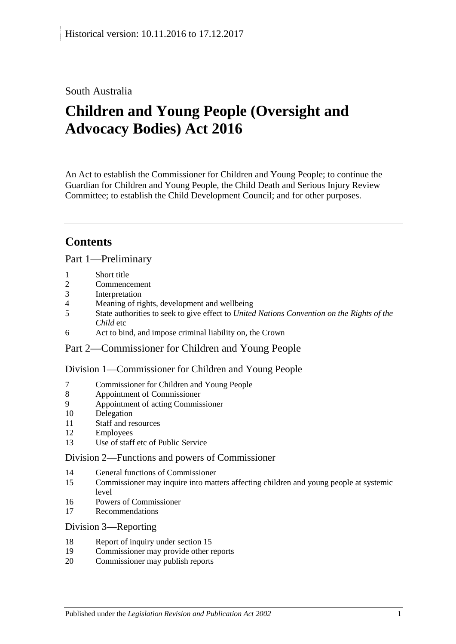# South Australia

# **Children and Young People (Oversight and Advocacy Bodies) Act 2016**

An Act to establish the Commissioner for Children and Young People; to continue the Guardian for Children and Young People, the Child Death and Serious Injury Review Committee; to establish the Child Development Council; and for other purposes.

# **Contents**

Part [1—Preliminary](#page-3-0)

- 1 [Short title](#page-3-1)
- 2 [Commencement](#page-3-2)
- 3 [Interpretation](#page-3-3)
- 4 [Meaning of rights, development and wellbeing](#page-4-0)<br>5 State authorities to seek to give effect to United
- 5 State authorities to seek to give effect to *[United Nations Convention on the Rights of the](#page-4-1)  [Child](#page-4-1)* etc
- 6 [Act to bind, and impose criminal liability on, the Crown](#page-4-2)
- Part [2—Commissioner for Children and Young People](#page-4-3)

Division [1—Commissioner for Children and Young People](#page-4-4)

- 7 [Commissioner for Children and Young People](#page-4-5)
- 8 [Appointment of Commissioner](#page-5-0)
- 9 [Appointment of acting Commissioner](#page-6-0)<br>10 Delegation
- **[Delegation](#page-6-1)**
- 11 [Staff and resources](#page-7-0)
- 12 [Employees](#page-7-1)
- 13 [Use of staff etc of Public Service](#page-7-2)

## Division [2—Functions and powers of Commissioner](#page-7-3)

- 14 [General functions of Commissioner](#page-7-4)<br>15 Commissioner may inquire into mat
- 15 [Commissioner may inquire into matters affecting children and young people at systemic](#page-8-0)  [level](#page-8-0)
- 16 [Powers of Commissioner](#page-9-0)
- 17 [Recommendations](#page-9-1)
- Division [3—Reporting](#page-10-0)
- 18 [Report of inquiry under section](#page-10-1) 15
- 19 [Commissioner may provide other reports](#page-10-2)
- 20 [Commissioner may publish reports](#page-11-0)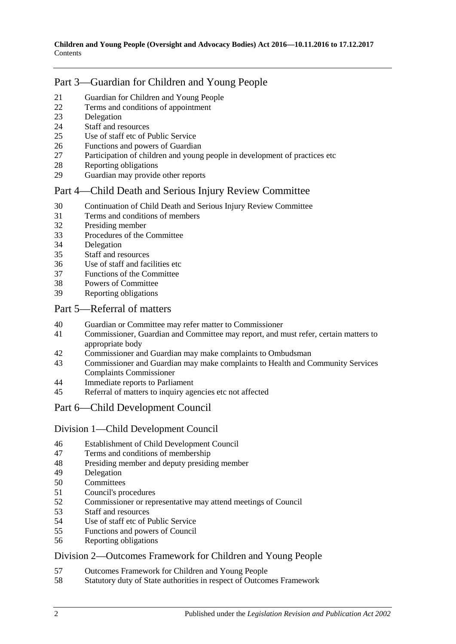# Part [3—Guardian for Children and Young People](#page-11-1)

- [Guardian for Children and Young People](#page-11-2)<br>22 Terms and conditions of appointment
- [Terms and conditions of appointment](#page-11-3)<br>23 Delegation
- [Delegation](#page-12-0)
- [Staff and resources](#page-12-1)<br>25 Use of staff etc of F
- [Use of staff etc of Public Service](#page-12-2)
- [Functions and powers of Guardian](#page-12-3)<br>27 Participation of children and young
- [Participation of children and young people in development of practices etc](#page-13-0)
- [Reporting obligations](#page-13-1)<br>29 Guardian may provide
- [Guardian may provide other reports](#page-14-0)

# Part [4—Child Death and Serious Injury Review Committee](#page-14-1)

- [Continuation of Child Death and Serious Injury Review Committee](#page-14-2)<br>31 Terms and conditions of members
- [Terms and conditions of members](#page-14-3)
- [Presiding member](#page-15-0)<br>33 Procedures of the C
- [Procedures of the Committee](#page-15-1)
- [Delegation](#page-15-2)
- [Staff and resources](#page-16-0)
- [Use of staff and facilities etc](#page-16-1)<br>37 Functions of the Committee
- [Functions of the Committee](#page-16-2)
- [Powers of Committee](#page-17-0)<br>39 Reporting obligations
- [Reporting obligations](#page-17-1)

## Part [5—Referral of matters](#page-18-0)

- [Guardian or Committee may refer matter to Commissioner](#page-18-1)<br>41 Commissioner Guardian and Committee may report and n
- [Commissioner, Guardian and Committee may report, and must refer, certain matters to](#page-18-2)  [appropriate body](#page-18-2)
- [Commissioner and Guardian may make complaints to Ombudsman](#page-18-3)
- [Commissioner and Guardian may make complaints to Health and Community Services](#page-19-0)  [Complaints Commissioner](#page-19-0)
- [Immediate reports to Parliament](#page-19-1)
- [Referral of matters to inquiry agencies etc not affected](#page-20-0)

# Part [6—Child Development Council](#page-20-1)

## Division [1—Child Development Council](#page-20-2)

- [Establishment of Child Development Council](#page-20-3)
- [Terms and conditions of membership](#page-20-4)
- [Presiding member and deputy presiding member](#page-21-0) 49 Delevation
- [Delegation](#page-21-1)<br>50 Committee
- **[Committees](#page-22-0)**
- [Council's procedures](#page-22-1)
- [Commissioner or representative may attend meetings of Council](#page-23-0)
- [Staff and resources](#page-23-1)
- [Use of staff etc of Public Service](#page-23-2)
- [Functions and powers of Council](#page-23-3)
- [Reporting obligations](#page-24-0)

## Division [2—Outcomes Framework for Children and Young People](#page-24-1)

- [Outcomes Framework for Children and Young People](#page-24-2)
- [Statutory duty of State authorities in respect of Outcomes Framework](#page-25-0)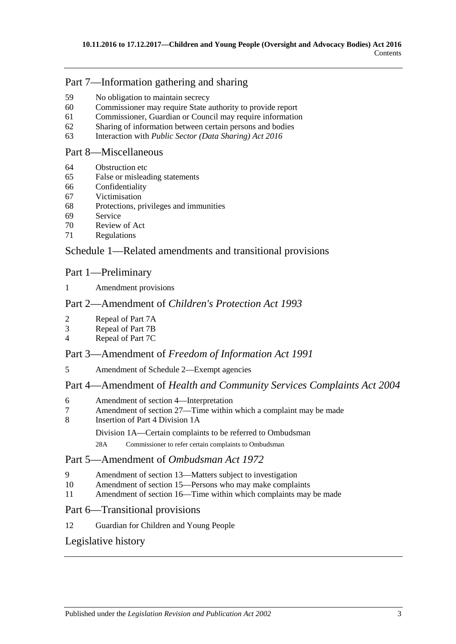# Part [7—Information gathering and sharing](#page-25-1)

- 59 [No obligation to maintain secrecy](#page-25-2)
- 60 [Commissioner may require State authority to provide report](#page-25-3)
- 61 [Commissioner, Guardian or Council may require information](#page-26-0)
- 62 [Sharing of information between certain persons and bodies](#page-26-1)<br>63 Interaction with *Public Sector (Data Sharing) Act* 2016
- 63 Interaction with *[Public Sector \(Data Sharing\) Act](#page-27-0) 2016*

## Part [8—Miscellaneous](#page-27-1)

- 64 [Obstruction etc](#page-27-2)
- 65 [False or misleading statements](#page-28-0)
- 66 [Confidentiality](#page-28-1)<br>67 Victimisation
- [Victimisation](#page-28-2)
- 68 [Protections, privileges and immunities](#page-29-0)
- [Service](#page-30-0)
- 70 [Review of Act](#page-30-1)<br>71 Regulations
- **[Regulations](#page-31-0)**

# Schedule [1—Related amendments and transitional provisions](#page-31-1)

# Part 1—Preliminary

1 [Amendment provisions](#page-31-2)

# Part 2—Amendment of *Children's Protection Act 1993*

- 2 [Repeal of Part 7A](#page-31-3)
- 3 [Repeal of Part 7B](#page-32-0)<br>4 Repeal of Part 7C
- [Repeal of Part 7C](#page-32-1)

## Part 3—Amendment of *Freedom of Information Act 1991*

5 [Amendment of Schedule 2—Exempt agencies](#page-32-2)

# Part 4—Amendment of *Health and Community Services Complaints Act 2004*

- 6 [Amendment of section 4—Interpretation](#page-32-3)
- 7 [Amendment of section 27—Time within which a complaint may be made](#page-32-4)<br>8 Insertion of Part 4 Division 1A
- [Insertion of Part 4 Division 1A](#page-33-0)

Division 1A—Certain complaints to be referred to Ombudsman

28A Commissioner to refer certain complaints to Ombudsman

# Part 5—Amendment of *Ombudsman Act 1972*

- 9 [Amendment of section 13—Matters subject to investigation](#page-34-0)
- 10 [Amendment of section 15—Persons who may make complaints](#page-35-0)
- 11 [Amendment of section 16—Time within which complaints may be made](#page-35-1)

## Part 6—Transitional provisions

12 [Guardian for Children and Young People](#page-35-2)

# [Legislative history](#page-36-0)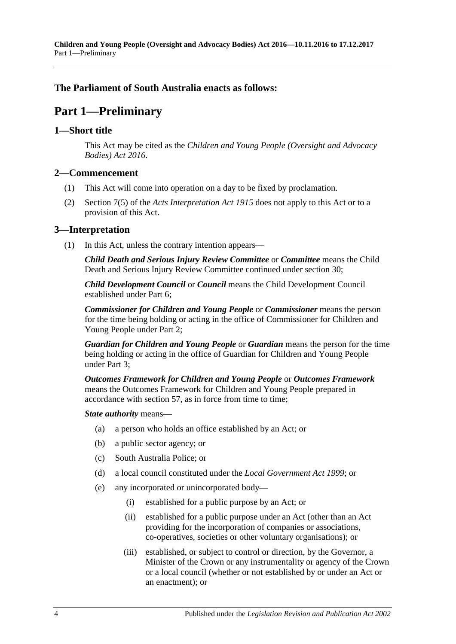**Children and Young People (Oversight and Advocacy Bodies) Act 2016—10.11.2016 to 17.12.2017** Part 1—Preliminary

## <span id="page-3-0"></span>**The Parliament of South Australia enacts as follows:**

# **Part 1—Preliminary**

#### <span id="page-3-1"></span>**1—Short title**

This Act may be cited as the *Children and Young People (Oversight and Advocacy Bodies) Act 2016*.

#### <span id="page-3-2"></span>**2—Commencement**

- (1) This Act will come into operation on a day to be fixed by proclamation.
- (2) Section 7(5) of the *[Acts Interpretation Act](http://www.legislation.sa.gov.au/index.aspx?action=legref&type=act&legtitle=Acts%20Interpretation%20Act%201915) 1915* does not apply to this Act or to a provision of this Act.

#### <span id="page-3-3"></span>**3—Interpretation**

(1) In this Act, unless the contrary intention appears—

*Child Death and Serious Injury Review Committee* or *Committee* means the Child Death and Serious Injury Review Committee continued under [section](#page-14-2) 30;

*Child Development Council* or *Council* means the Child Development Council established under [Part](#page-20-1) 6;

*Commissioner for Children and Young People* or *Commissioner* means the person for the time being holding or acting in the office of Commissioner for Children and Young People under [Part](#page-4-3) 2;

*Guardian for Children and Young People* or *Guardian* means the person for the time being holding or acting in the office of Guardian for Children and Young People under [Part](#page-11-1) 3;

*Outcomes Framework for Children and Young People* or *Outcomes Framework* means the Outcomes Framework for Children and Young People prepared in accordance with [section](#page-24-2) 57, as in force from time to time;

#### *State authority* means—

- (a) a person who holds an office established by an Act; or
- (b) a public sector agency; or
- (c) South Australia Police; or
- (d) a local council constituted under the *[Local Government Act](http://www.legislation.sa.gov.au/index.aspx?action=legref&type=act&legtitle=Local%20Government%20Act%201999) 1999*; or
- (e) any incorporated or unincorporated body—
	- (i) established for a public purpose by an Act; or
	- (ii) established for a public purpose under an Act (other than an Act providing for the incorporation of companies or associations, co-operatives, societies or other voluntary organisations); or
	- (iii) established, or subject to control or direction, by the Governor, a Minister of the Crown or any instrumentality or agency of the Crown or a local council (whether or not established by or under an Act or an enactment); or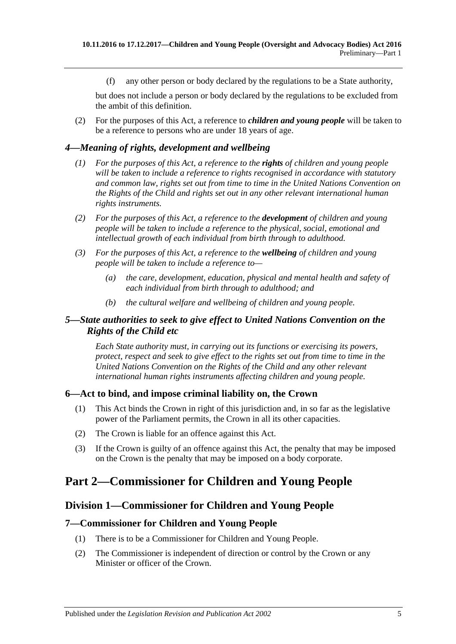(f) any other person or body declared by the regulations to be a State authority,

but does not include a person or body declared by the regulations to be excluded from the ambit of this definition.

(2) For the purposes of this Act, a reference to *children and young people* will be taken to be a reference to persons who are under 18 years of age.

#### <span id="page-4-0"></span>*4—Meaning of rights, development and wellbeing*

- *(1) For the purposes of this Act, a reference to the rights of children and young people will be taken to include a reference to rights recognised in accordance with statutory and common law, rights set out from time to time in the United Nations Convention on the Rights of the Child and rights set out in any other relevant international human rights instruments.*
- *(2) For the purposes of this Act, a reference to the development of children and young people will be taken to include a reference to the physical, social, emotional and intellectual growth of each individual from birth through to adulthood.*
- *(3) For the purposes of this Act, a reference to the wellbeing of children and young people will be taken to include a reference to—*
	- *(a) the care, development, education, physical and mental health and safety of each individual from birth through to adulthood; and*
	- *(b) the cultural welfare and wellbeing of children and young people.*

## <span id="page-4-1"></span>*5—State authorities to seek to give effect to United Nations Convention on the Rights of the Child etc*

*Each State authority must, in carrying out its functions or exercising its powers, protect, respect and seek to give effect to the rights set out from time to time in the United Nations Convention on the Rights of the Child and any other relevant international human rights instruments affecting children and young people.*

#### <span id="page-4-2"></span>**6—Act to bind, and impose criminal liability on, the Crown**

- (1) This Act binds the Crown in right of this jurisdiction and, in so far as the legislative power of the Parliament permits, the Crown in all its other capacities.
- (2) The Crown is liable for an offence against this Act.
- (3) If the Crown is guilty of an offence against this Act, the penalty that may be imposed on the Crown is the penalty that may be imposed on a body corporate.

# <span id="page-4-4"></span><span id="page-4-3"></span>**Part 2—Commissioner for Children and Young People**

## **Division 1—Commissioner for Children and Young People**

#### <span id="page-4-5"></span>**7—Commissioner for Children and Young People**

- (1) There is to be a Commissioner for Children and Young People.
- (2) The Commissioner is independent of direction or control by the Crown or any Minister or officer of the Crown.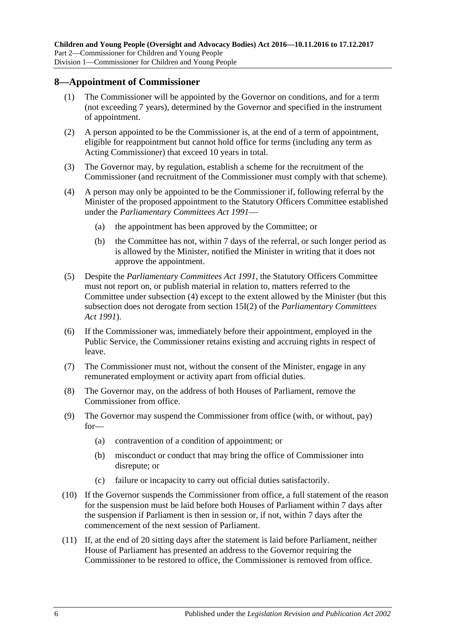#### <span id="page-5-0"></span>**8—Appointment of Commissioner**

- (1) The Commissioner will be appointed by the Governor on conditions, and for a term (not exceeding 7 years), determined by the Governor and specified in the instrument of appointment.
- (2) A person appointed to be the Commissioner is, at the end of a term of appointment, eligible for reappointment but cannot hold office for terms (including any term as Acting Commissioner) that exceed 10 years in total.
- (3) The Governor may, by regulation, establish a scheme for the recruitment of the Commissioner (and recruitment of the Commissioner must comply with that scheme).
- <span id="page-5-1"></span>(4) A person may only be appointed to be the Commissioner if, following referral by the Minister of the proposed appointment to the Statutory Officers Committee established under the *[Parliamentary Committees Act](http://www.legislation.sa.gov.au/index.aspx?action=legref&type=act&legtitle=Parliamentary%20Committees%20Act%201991) 1991*—
	- (a) the appointment has been approved by the Committee; or
	- (b) the Committee has not, within 7 days of the referral, or such longer period as is allowed by the Minister, notified the Minister in writing that it does not approve the appointment.
- (5) Despite the *[Parliamentary Committees Act](http://www.legislation.sa.gov.au/index.aspx?action=legref&type=act&legtitle=Parliamentary%20Committees%20Act%201991) 1991*, the Statutory Officers Committee must not report on, or publish material in relation to, matters referred to the Committee under [subsection](#page-5-1) (4) except to the extent allowed by the Minister (but this subsection does not derogate from section 15I(2) of the *[Parliamentary Committees](http://www.legislation.sa.gov.au/index.aspx?action=legref&type=act&legtitle=Parliamentary%20Committees%20Act%201991)  Act [1991](http://www.legislation.sa.gov.au/index.aspx?action=legref&type=act&legtitle=Parliamentary%20Committees%20Act%201991)*).
- (6) If the Commissioner was, immediately before their appointment, employed in the Public Service, the Commissioner retains existing and accruing rights in respect of leave.
- (7) The Commissioner must not, without the consent of the Minister, engage in any remunerated employment or activity apart from official duties.
- (8) The Governor may, on the address of both Houses of Parliament, remove the Commissioner from office.
- (9) The Governor may suspend the Commissioner from office (with, or without, pay) for—
	- (a) contravention of a condition of appointment; or
	- (b) misconduct or conduct that may bring the office of Commissioner into disrepute; or
	- (c) failure or incapacity to carry out official duties satisfactorily.
- (10) If the Governor suspends the Commissioner from office, a full statement of the reason for the suspension must be laid before both Houses of Parliament within 7 days after the suspension if Parliament is then in session or, if not, within 7 days after the commencement of the next session of Parliament.
- (11) If, at the end of 20 sitting days after the statement is laid before Parliament, neither House of Parliament has presented an address to the Governor requiring the Commissioner to be restored to office, the Commissioner is removed from office.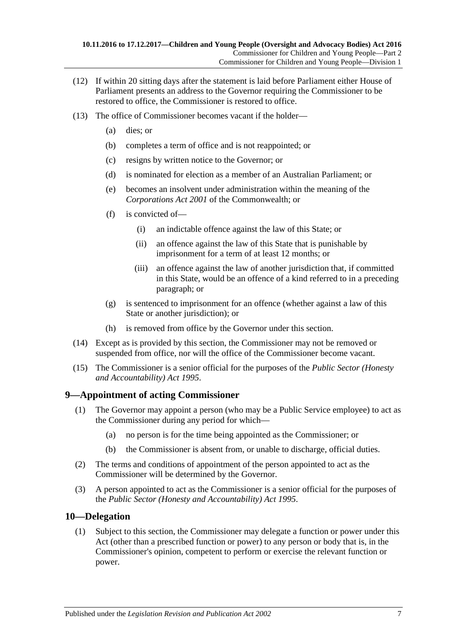- (12) If within 20 sitting days after the statement is laid before Parliament either House of Parliament presents an address to the Governor requiring the Commissioner to be restored to office, the Commissioner is restored to office.
- (13) The office of Commissioner becomes vacant if the holder—
	- (a) dies; or
	- (b) completes a term of office and is not reappointed; or
	- (c) resigns by written notice to the Governor; or
	- (d) is nominated for election as a member of an Australian Parliament; or
	- (e) becomes an insolvent under administration within the meaning of the *Corporations Act 2001* of the Commonwealth; or
	- (f) is convicted of—
		- (i) an indictable offence against the law of this State; or
		- (ii) an offence against the law of this State that is punishable by imprisonment for a term of at least 12 months; or
		- (iii) an offence against the law of another jurisdiction that, if committed in this State, would be an offence of a kind referred to in a preceding paragraph; or
	- (g) is sentenced to imprisonment for an offence (whether against a law of this State or another jurisdiction); or
	- (h) is removed from office by the Governor under this section.
- (14) Except as is provided by this section, the Commissioner may not be removed or suspended from office, nor will the office of the Commissioner become vacant.
- (15) The Commissioner is a senior official for the purposes of the *[Public Sector \(Honesty](http://www.legislation.sa.gov.au/index.aspx?action=legref&type=act&legtitle=Public%20Sector%20(Honesty%20and%20Accountability)%20Act%201995)  [and Accountability\) Act](http://www.legislation.sa.gov.au/index.aspx?action=legref&type=act&legtitle=Public%20Sector%20(Honesty%20and%20Accountability)%20Act%201995) 1995*.

# <span id="page-6-0"></span>**9—Appointment of acting Commissioner**

- (1) The Governor may appoint a person (who may be a Public Service employee) to act as the Commissioner during any period for which—
	- (a) no person is for the time being appointed as the Commissioner; or
	- (b) the Commissioner is absent from, or unable to discharge, official duties.
- (2) The terms and conditions of appointment of the person appointed to act as the Commissioner will be determined by the Governor.
- (3) A person appointed to act as the Commissioner is a senior official for the purposes of the *[Public Sector \(Honesty and Accountability\) Act](http://www.legislation.sa.gov.au/index.aspx?action=legref&type=act&legtitle=Public%20Sector%20(Honesty%20and%20Accountability)%20Act%201995) 1995*.

## <span id="page-6-1"></span>**10—Delegation**

(1) Subject to this section, the Commissioner may delegate a function or power under this Act (other than a prescribed function or power) to any person or body that is, in the Commissioner's opinion, competent to perform or exercise the relevant function or power.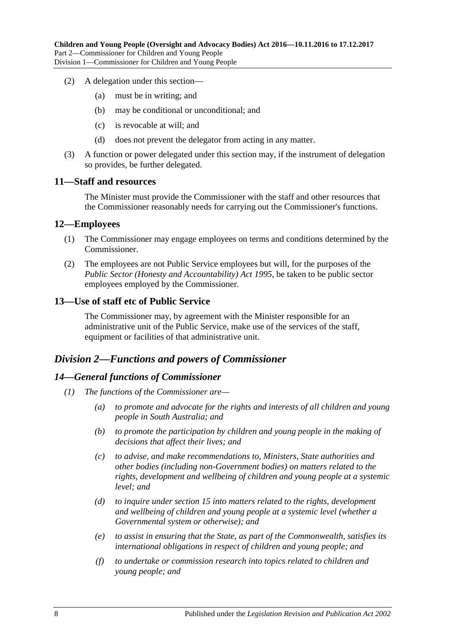- (2) A delegation under this section—
	- (a) must be in writing; and
	- (b) may be conditional or unconditional; and
	- (c) is revocable at will; and
	- (d) does not prevent the delegator from acting in any matter.
- (3) A function or power delegated under this section may, if the instrument of delegation so provides, be further delegated.

#### <span id="page-7-0"></span>**11—Staff and resources**

The Minister must provide the Commissioner with the staff and other resources that the Commissioner reasonably needs for carrying out the Commissioner's functions.

#### <span id="page-7-1"></span>**12—Employees**

- (1) The Commissioner may engage employees on terms and conditions determined by the Commissioner.
- (2) The employees are not Public Service employees but will, for the purposes of the *[Public Sector \(Honesty and Accountability\) Act](http://www.legislation.sa.gov.au/index.aspx?action=legref&type=act&legtitle=Public%20Sector%20(Honesty%20and%20Accountability)%20Act%201995) 1995*, be taken to be public sector employees employed by the Commissioner.

#### <span id="page-7-2"></span>**13—Use of staff etc of Public Service**

The Commissioner may, by agreement with the Minister responsible for an administrative unit of the Public Service, make use of the services of the staff, equipment or facilities of that administrative unit.

## <span id="page-7-3"></span>*Division 2—Functions and powers of Commissioner*

#### <span id="page-7-4"></span>*14—General functions of Commissioner*

- *(1) The functions of the Commissioner are—*
	- *(a) to promote and advocate for the rights and interests of all children and young people in South Australia; and*
	- *(b) to promote the participation by children and young people in the making of decisions that affect their lives; and*
	- *(c) to advise, and make recommendations to, Ministers, State authorities and other bodies (including non-Government bodies) on matters related to the rights, development and wellbeing of children and young people at a systemic level; and*
	- *(d) to inquire under [section](#page-8-0) 15 into matters related to the rights, development and wellbeing of children and young people at a systemic level (whether a Governmental system or otherwise); and*
	- *(e) to assist in ensuring that the State, as part of the Commonwealth, satisfies its international obligations in respect of children and young people; and*
	- *(f) to undertake or commission research into topics related to children and young people; and*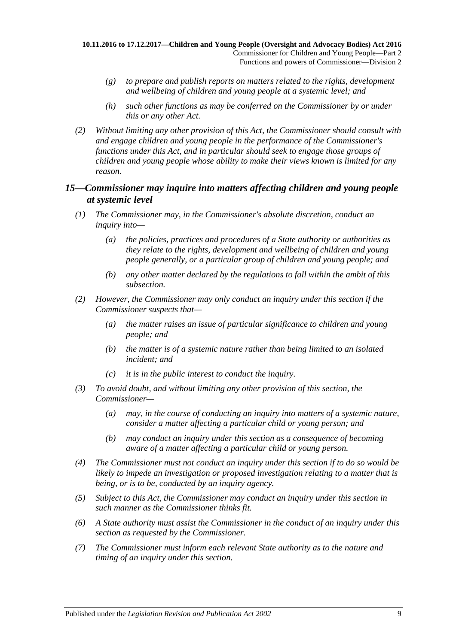- *(g) to prepare and publish reports on matters related to the rights, development and wellbeing of children and young people at a systemic level; and*
- *(h) such other functions as may be conferred on the Commissioner by or under this or any other Act.*
- *(2) Without limiting any other provision of this Act, the Commissioner should consult with and engage children and young people in the performance of the Commissioner's functions under this Act, and in particular should seek to engage those groups of children and young people whose ability to make their views known is limited for any reason.*

## <span id="page-8-0"></span>*15—Commissioner may inquire into matters affecting children and young people at systemic level*

- *(1) The Commissioner may, in the Commissioner's absolute discretion, conduct an inquiry into—*
	- *(a) the policies, practices and procedures of a State authority or authorities as they relate to the rights, development and wellbeing of children and young people generally, or a particular group of children and young people; and*
	- *(b) any other matter declared by the regulations to fall within the ambit of this subsection.*
- *(2) However, the Commissioner may only conduct an inquiry under this section if the Commissioner suspects that—*
	- *(a) the matter raises an issue of particular significance to children and young people; and*
	- *(b) the matter is of a systemic nature rather than being limited to an isolated incident; and*
	- *(c) it is in the public interest to conduct the inquiry.*
- *(3) To avoid doubt, and without limiting any other provision of this section, the Commissioner—*
	- *(a) may, in the course of conducting an inquiry into matters of a systemic nature, consider a matter affecting a particular child or young person; and*
	- *(b) may conduct an inquiry under this section as a consequence of becoming aware of a matter affecting a particular child or young person.*
- *(4) The Commissioner must not conduct an inquiry under this section if to do so would be likely to impede an investigation or proposed investigation relating to a matter that is being, or is to be, conducted by an inquiry agency.*
- *(5) Subject to this Act, the Commissioner may conduct an inquiry under this section in such manner as the Commissioner thinks fit.*
- *(6) A State authority must assist the Commissioner in the conduct of an inquiry under this section as requested by the Commissioner.*
- *(7) The Commissioner must inform each relevant State authority as to the nature and timing of an inquiry under this section.*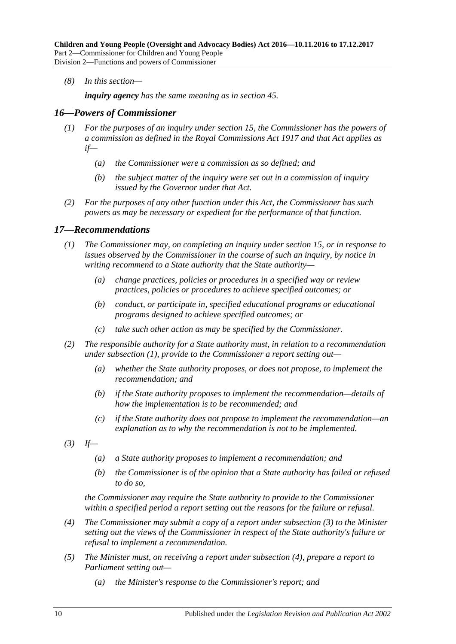*(8) In this section—*

*inquiry agency has the same meaning as in [section](#page-20-0) 45.*

#### <span id="page-9-0"></span>*16—Powers of Commissioner*

- *(1) For the purposes of an inquiry under [section](#page-8-0) 15, the Commissioner has the powers of a commission as defined in the [Royal Commissions Act](http://www.legislation.sa.gov.au/index.aspx?action=legref&type=act&legtitle=Royal%20Commissions%20Act%201917) 1917 and that Act applies as if—*
	- *(a) the Commissioner were a commission as so defined; and*
	- *(b) the subject matter of the inquiry were set out in a commission of inquiry issued by the Governor under that Act.*
- *(2) For the purposes of any other function under this Act, the Commissioner has such powers as may be necessary or expedient for the performance of that function.*

#### <span id="page-9-2"></span><span id="page-9-1"></span>*17—Recommendations*

- *(1) The Commissioner may, on completing an inquiry under [section](#page-8-0) 15, or in response to issues observed by the Commissioner in the course of such an inquiry, by notice in writing recommend to a State authority that the State authority—*
	- *(a) change practices, policies or procedures in a specified way or review practices, policies or procedures to achieve specified outcomes; or*
	- *(b) conduct, or participate in, specified educational programs or educational programs designed to achieve specified outcomes; or*
	- *(c) take such other action as may be specified by the Commissioner.*
- *(2) The responsible authority for a State authority must, in relation to a recommendation under [subsection](#page-9-2) (1), provide to the Commissioner a report setting out—*
	- *(a) whether the State authority proposes, or does not propose, to implement the recommendation; and*
	- *(b) if the State authority proposes to implement the recommendation—details of how the implementation is to be recommended; and*
	- *(c) if the State authority does not propose to implement the recommendation—an explanation as to why the recommendation is not to be implemented.*
- <span id="page-9-3"></span>*(3) If—*
	- *(a) a State authority proposes to implement a recommendation; and*
	- *(b) the Commissioner is of the opinion that a State authority has failed or refused to do so,*

*the Commissioner may require the State authority to provide to the Commissioner within a specified period a report setting out the reasons for the failure or refusal.*

- <span id="page-9-4"></span>*(4) The Commissioner may submit a copy of a report under [subsection](#page-9-3) (3) to the Minister setting out the views of the Commissioner in respect of the State authority's failure or refusal to implement a recommendation.*
- <span id="page-9-5"></span>*(5) The Minister must, on receiving a report under [subsection](#page-9-4) (4), prepare a report to Parliament setting out—*
	- *(a) the Minister's response to the Commissioner's report; and*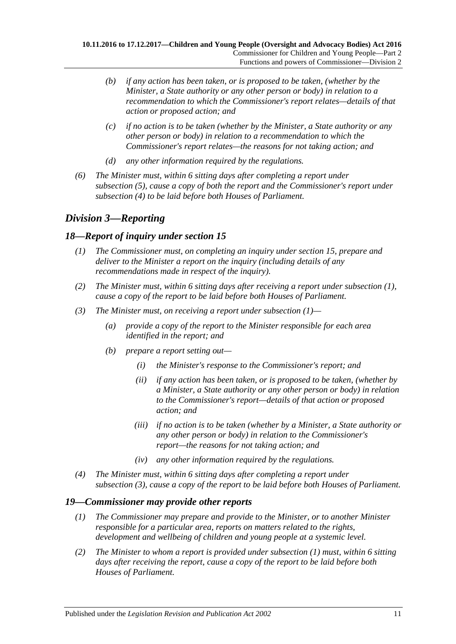- *(b) if any action has been taken, or is proposed to be taken, (whether by the Minister, a State authority or any other person or body) in relation to a recommendation to which the Commissioner's report relates—details of that action or proposed action; and*
- *(c) if no action is to be taken (whether by the Minister, a State authority or any other person or body) in relation to a recommendation to which the Commissioner's report relates—the reasons for not taking action; and*
- *(d) any other information required by the regulations.*
- *(6) The Minister must, within 6 sitting days after completing a report under [subsection](#page-9-5) (5), cause a copy of both the report and the Commissioner's report under [subsection](#page-9-4) (4) to be laid before both Houses of Parliament.*

# <span id="page-10-0"></span>*Division 3—Reporting*

# <span id="page-10-3"></span><span id="page-10-1"></span>*18—Report of inquiry under [section](#page-8-0) 15*

- *(1) The Commissioner must, on completing an inquiry under [section](#page-8-0) 15, prepare and deliver to the Minister a report on the inquiry (including details of any recommendations made in respect of the inquiry).*
- *(2) The Minister must, within 6 sitting days after receiving a report under [subsection](#page-10-3) (1), cause a copy of the report to be laid before both Houses of Parliament.*
- <span id="page-10-4"></span>*(3) The Minister must, on receiving a report under [subsection](#page-10-3) (1)—*
	- *(a) provide a copy of the report to the Minister responsible for each area identified in the report; and*
	- *(b) prepare a report setting out—*
		- *(i) the Minister's response to the Commissioner's report; and*
		- *(ii) if any action has been taken, or is proposed to be taken, (whether by a Minister, a State authority or any other person or body) in relation to the Commissioner's report—details of that action or proposed action; and*
		- *(iii) if no action is to be taken (whether by a Minister, a State authority or any other person or body) in relation to the Commissioner's report—the reasons for not taking action; and*
		- *(iv) any other information required by the regulations.*
- *(4) The Minister must, within 6 sitting days after completing a report under [subsection](#page-10-4) (3), cause a copy of the report to be laid before both Houses of Parliament.*

## <span id="page-10-5"></span><span id="page-10-2"></span>*19—Commissioner may provide other reports*

- *(1) The Commissioner may prepare and provide to the Minister, or to another Minister responsible for a particular area, reports on matters related to the rights, development and wellbeing of children and young people at a systemic level.*
- *(2) The Minister to whom a report is provided under [subsection](#page-10-5) (1) must, within 6 sitting days after receiving the report, cause a copy of the report to be laid before both Houses of Parliament.*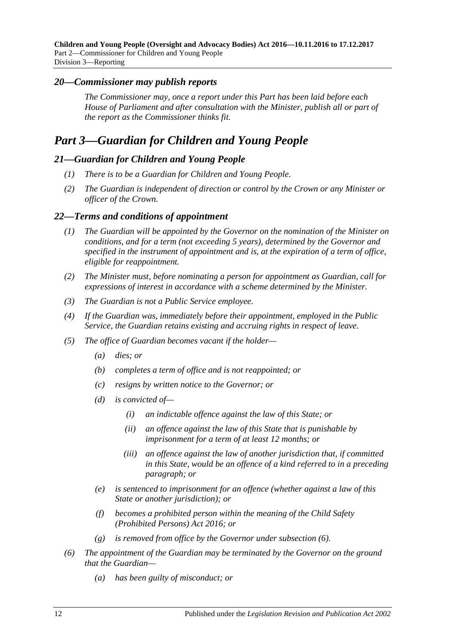**Children and Young People (Oversight and Advocacy Bodies) Act 2016—10.11.2016 to 17.12.2017** Part 2—Commissioner for Children and Young People Division 3—Reporting

#### <span id="page-11-0"></span>*20—Commissioner may publish reports*

*The Commissioner may, once a report under this Part has been laid before each House of Parliament and after consultation with the Minister, publish all or part of the report as the Commissioner thinks fit.*

# <span id="page-11-1"></span>*Part 3—Guardian for Children and Young People*

#### <span id="page-11-2"></span>*21—Guardian for Children and Young People*

- *(1) There is to be a Guardian for Children and Young People.*
- *(2) The Guardian is independent of direction or control by the Crown or any Minister or officer of the Crown.*

#### <span id="page-11-3"></span>*22—Terms and conditions of appointment*

- *(1) The Guardian will be appointed by the Governor on the nomination of the Minister on conditions, and for a term (not exceeding 5 years), determined by the Governor and specified in the instrument of appointment and is, at the expiration of a term of office, eligible for reappointment.*
- *(2) The Minister must, before nominating a person for appointment as Guardian, call for expressions of interest in accordance with a scheme determined by the Minister.*
- *(3) The Guardian is not a Public Service employee.*
- *(4) If the Guardian was, immediately before their appointment, employed in the Public Service, the Guardian retains existing and accruing rights in respect of leave.*
- *(5) The office of Guardian becomes vacant if the holder—*
	- *(a) dies; or*
	- *(b) completes a term of office and is not reappointed; or*
	- *(c) resigns by written notice to the Governor; or*
	- *(d) is convicted of—*
		- *(i) an indictable offence against the law of this State; or*
		- *(ii) an offence against the law of this State that is punishable by imprisonment for a term of at least 12 months; or*
		- *(iii) an offence against the law of another jurisdiction that, if committed in this State, would be an offence of a kind referred to in a preceding paragraph; or*
	- *(e) is sentenced to imprisonment for an offence (whether against a law of this State or another jurisdiction); or*
	- *(f) becomes a prohibited person within the meaning of the [Child Safety](http://www.legislation.sa.gov.au/index.aspx?action=legref&type=act&legtitle=Child%20Safety%20(Prohibited%20Persons)%20Act%202016)  [\(Prohibited Persons\) Act](http://www.legislation.sa.gov.au/index.aspx?action=legref&type=act&legtitle=Child%20Safety%20(Prohibited%20Persons)%20Act%202016) 2016; or*
	- *(g) is removed from office by the Governor under [subsection](#page-11-4) (6).*
- <span id="page-11-4"></span>*(6) The appointment of the Guardian may be terminated by the Governor on the ground that the Guardian—*
	- *(a) has been guilty of misconduct; or*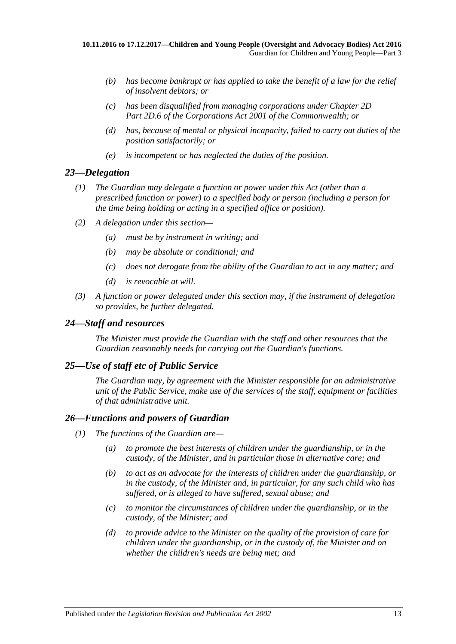- *(b) has become bankrupt or has applied to take the benefit of a law for the relief of insolvent debtors; or*
- *(c) has been disqualified from managing corporations under Chapter 2D Part 2D.6 of the Corporations Act 2001 of the Commonwealth; or*
- *(d) has, because of mental or physical incapacity, failed to carry out duties of the position satisfactorily; or*
- *(e) is incompetent or has neglected the duties of the position.*

# <span id="page-12-0"></span>*23—Delegation*

- *(1) The Guardian may delegate a function or power under this Act (other than a prescribed function or power) to a specified body or person (including a person for the time being holding or acting in a specified office or position).*
- *(2) A delegation under this section—*
	- *(a) must be by instrument in writing; and*
	- *(b) may be absolute or conditional; and*
	- *(c) does not derogate from the ability of the Guardian to act in any matter; and*
	- *(d) is revocable at will.*
- *(3) A function or power delegated under this section may, if the instrument of delegation so provides, be further delegated.*

## <span id="page-12-1"></span>*24—Staff and resources*

*The Minister must provide the Guardian with the staff and other resources that the Guardian reasonably needs for carrying out the Guardian's functions.*

## <span id="page-12-2"></span>*25—Use of staff etc of Public Service*

*The Guardian may, by agreement with the Minister responsible for an administrative unit of the Public Service, make use of the services of the staff, equipment or facilities of that administrative unit.*

## <span id="page-12-3"></span>*26—Functions and powers of Guardian*

- *(1) The functions of the Guardian are—*
	- *(a) to promote the best interests of children under the guardianship, or in the custody, of the Minister, and in particular those in alternative care; and*
	- *(b) to act as an advocate for the interests of children under the guardianship, or in the custody, of the Minister and, in particular, for any such child who has suffered, or is alleged to have suffered, sexual abuse; and*
	- *(c) to monitor the circumstances of children under the guardianship, or in the custody, of the Minister; and*
	- *(d) to provide advice to the Minister on the quality of the provision of care for children under the guardianship, or in the custody of, the Minister and on whether the children's needs are being met; and*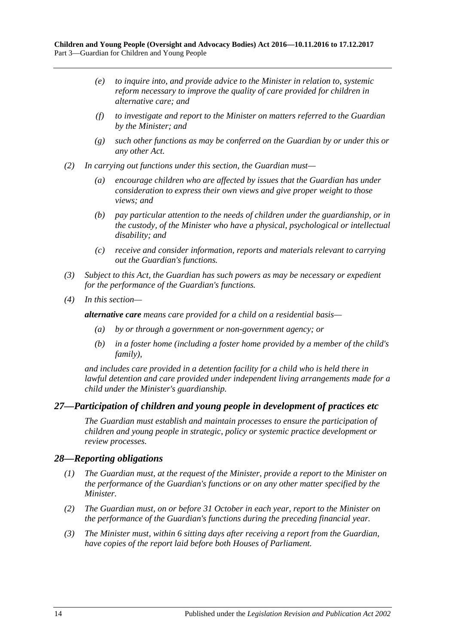- *(e) to inquire into, and provide advice to the Minister in relation to, systemic reform necessary to improve the quality of care provided for children in alternative care; and*
- *(f) to investigate and report to the Minister on matters referred to the Guardian by the Minister; and*
- *(g) such other functions as may be conferred on the Guardian by or under this or any other Act.*
- *(2) In carrying out functions under this section, the Guardian must—*
	- *(a) encourage children who are affected by issues that the Guardian has under consideration to express their own views and give proper weight to those views; and*
	- *(b) pay particular attention to the needs of children under the guardianship, or in the custody, of the Minister who have a physical, psychological or intellectual disability; and*
	- *(c) receive and consider information, reports and materials relevant to carrying out the Guardian's functions.*
- *(3) Subject to this Act, the Guardian has such powers as may be necessary or expedient for the performance of the Guardian's functions.*
- *(4) In this section—*

*alternative care means care provided for a child on a residential basis—*

- *(a) by or through a government or non-government agency; or*
- *(b) in a foster home (including a foster home provided by a member of the child's family),*

*and includes care provided in a detention facility for a child who is held there in lawful detention and care provided under independent living arrangements made for a child under the Minister's guardianship.*

## <span id="page-13-0"></span>*27—Participation of children and young people in development of practices etc*

*The Guardian must establish and maintain processes to ensure the participation of children and young people in strategic, policy or systemic practice development or review processes.*

## <span id="page-13-1"></span>*28—Reporting obligations*

- *(1) The Guardian must, at the request of the Minister, provide a report to the Minister on the performance of the Guardian's functions or on any other matter specified by the Minister.*
- *(2) The Guardian must, on or before 31 October in each year, report to the Minister on the performance of the Guardian's functions during the preceding financial year.*
- *(3) The Minister must, within 6 sitting days after receiving a report from the Guardian, have copies of the report laid before both Houses of Parliament.*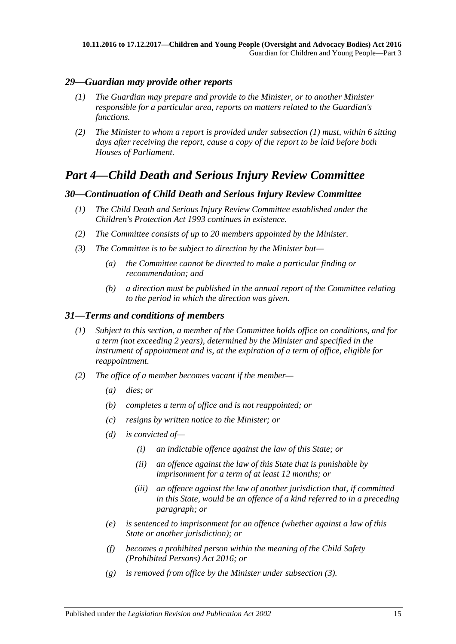## <span id="page-14-4"></span><span id="page-14-0"></span>*29—Guardian may provide other reports*

- *(1) The Guardian may prepare and provide to the Minister, or to another Minister responsible for a particular area, reports on matters related to the Guardian's functions.*
- *(2) The Minister to whom a report is provided under [subsection](#page-14-4) (1) must, within 6 sitting days after receiving the report, cause a copy of the report to be laid before both Houses of Parliament.*

# <span id="page-14-1"></span>*Part 4—Child Death and Serious Injury Review Committee*

## <span id="page-14-2"></span>*30—Continuation of Child Death and Serious Injury Review Committee*

- *(1) The Child Death and Serious Injury Review Committee established under the [Children's Protection Act](http://www.legislation.sa.gov.au/index.aspx?action=legref&type=act&legtitle=Childrens%20Protection%20Act%201993) 1993 continues in existence.*
- *(2) The Committee consists of up to 20 members appointed by the Minister.*
- *(3) The Committee is to be subject to direction by the Minister but—*
	- *(a) the Committee cannot be directed to make a particular finding or recommendation; and*
	- *(b) a direction must be published in the annual report of the Committee relating to the period in which the direction was given.*

## <span id="page-14-3"></span>*31—Terms and conditions of members*

- *(1) Subject to this section, a member of the Committee holds office on conditions, and for a term (not exceeding 2 years), determined by the Minister and specified in the instrument of appointment and is, at the expiration of a term of office, eligible for reappointment.*
- *(2) The office of a member becomes vacant if the member—*
	- *(a) dies; or*
	- *(b) completes a term of office and is not reappointed; or*
	- *(c) resigns by written notice to the Minister; or*
	- *(d) is convicted of—*
		- *(i) an indictable offence against the law of this State; or*
		- *(ii) an offence against the law of this State that is punishable by imprisonment for a term of at least 12 months; or*
		- *(iii) an offence against the law of another jurisdiction that, if committed in this State, would be an offence of a kind referred to in a preceding paragraph; or*
	- *(e) is sentenced to imprisonment for an offence (whether against a law of this State or another jurisdiction); or*
	- *(f) becomes a prohibited person within the meaning of the [Child Safety](http://www.legislation.sa.gov.au/index.aspx?action=legref&type=act&legtitle=Child%20Safety%20(Prohibited%20Persons)%20Act%202016)  [\(Prohibited Persons\) Act 2016;](http://www.legislation.sa.gov.au/index.aspx?action=legref&type=act&legtitle=Child%20Safety%20(Prohibited%20Persons)%20Act%202016) or*
	- *(g) is removed from office by the Minister unde[r subsection](#page-15-3) (3).*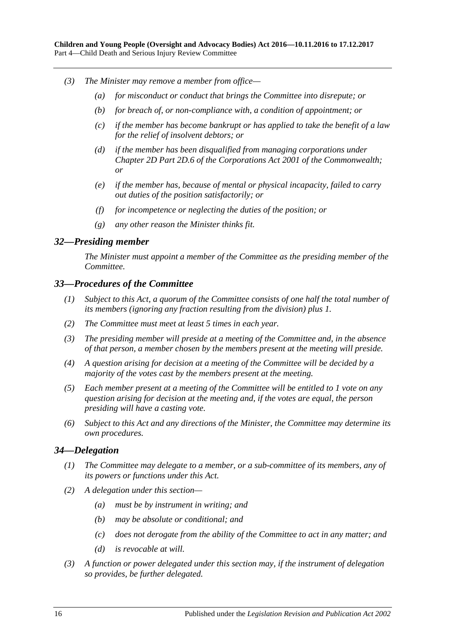- <span id="page-15-3"></span>*(3) The Minister may remove a member from office—*
	- *(a) for misconduct or conduct that brings the Committee into disrepute; or*
	- *(b) for breach of, or non-compliance with, a condition of appointment; or*
	- *(c) if the member has become bankrupt or has applied to take the benefit of a law for the relief of insolvent debtors; or*
	- *(d) if the member has been disqualified from managing corporations under Chapter 2D Part 2D.6 of the Corporations Act 2001 of the Commonwealth; or*
	- *(e) if the member has, because of mental or physical incapacity, failed to carry out duties of the position satisfactorily; or*
	- *(f) for incompetence or neglecting the duties of the position; or*
	- *(g) any other reason the Minister thinks fit.*

#### <span id="page-15-0"></span>*32—Presiding member*

*The Minister must appoint a member of the Committee as the presiding member of the Committee.*

#### <span id="page-15-1"></span>*33—Procedures of the Committee*

- *(1) Subject to this Act, a quorum of the Committee consists of one half the total number of its members (ignoring any fraction resulting from the division) plus 1.*
- *(2) The Committee must meet at least 5 times in each year.*
- *(3) The presiding member will preside at a meeting of the Committee and, in the absence of that person, a member chosen by the members present at the meeting will preside.*
- *(4) A question arising for decision at a meeting of the Committee will be decided by a majority of the votes cast by the members present at the meeting.*
- *(5) Each member present at a meeting of the Committee will be entitled to 1 vote on any question arising for decision at the meeting and, if the votes are equal, the person presiding will have a casting vote.*
- *(6) Subject to this Act and any directions of the Minister, the Committee may determine its own procedures.*

#### <span id="page-15-2"></span>*34—Delegation*

- *(1) The Committee may delegate to a member, or a sub-committee of its members, any of its powers or functions under this Act.*
- *(2) A delegation under this section—*
	- *(a) must be by instrument in writing; and*
	- *(b) may be absolute or conditional; and*
	- *(c) does not derogate from the ability of the Committee to act in any matter; and*
	- *(d) is revocable at will.*
- *(3) A function or power delegated under this section may, if the instrument of delegation so provides, be further delegated.*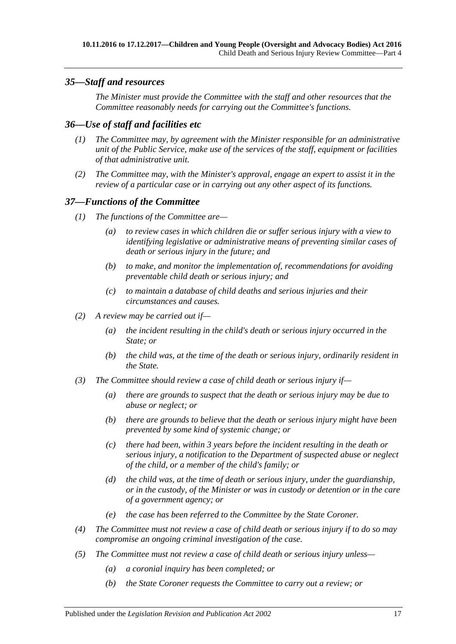## <span id="page-16-0"></span>*35—Staff and resources*

*The Minister must provide the Committee with the staff and other resources that the Committee reasonably needs for carrying out the Committee's functions.*

# <span id="page-16-1"></span>*36—Use of staff and facilities etc*

- *(1) The Committee may, by agreement with the Minister responsible for an administrative unit of the Public Service, make use of the services of the staff, equipment or facilities of that administrative unit.*
- *(2) The Committee may, with the Minister's approval, engage an expert to assist it in the review of a particular case or in carrying out any other aspect of its functions.*

## <span id="page-16-2"></span>*37—Functions of the Committee*

- *(1) The functions of the Committee are—*
	- *(a) to review cases in which children die or suffer serious injury with a view to identifying legislative or administrative means of preventing similar cases of death or serious injury in the future; and*
	- *(b) to make, and monitor the implementation of, recommendations for avoiding preventable child death or serious injury; and*
	- *(c) to maintain a database of child deaths and serious injuries and their circumstances and causes.*
- *(2) A review may be carried out if—*
	- *(a) the incident resulting in the child's death or serious injury occurred in the State; or*
	- *(b) the child was, at the time of the death or serious injury, ordinarily resident in the State.*
- *(3) The Committee should review a case of child death or serious injury if—*
	- *(a) there are grounds to suspect that the death or serious injury may be due to abuse or neglect; or*
	- *(b) there are grounds to believe that the death or serious injury might have been prevented by some kind of systemic change; or*
	- *(c) there had been, within 3 years before the incident resulting in the death or serious injury, a notification to the Department of suspected abuse or neglect of the child, or a member of the child's family; or*
	- *(d) the child was, at the time of death or serious injury, under the guardianship, or in the custody, of the Minister or was in custody or detention or in the care of a government agency; or*
	- *(e) the case has been referred to the Committee by the State Coroner.*
- *(4) The Committee must not review a case of child death or serious injury if to do so may compromise an ongoing criminal investigation of the case.*
- *(5) The Committee must not review a case of child death or serious injury unless—*
	- *(a) a coronial inquiry has been completed; or*
	- *(b) the State Coroner requests the Committee to carry out a review; or*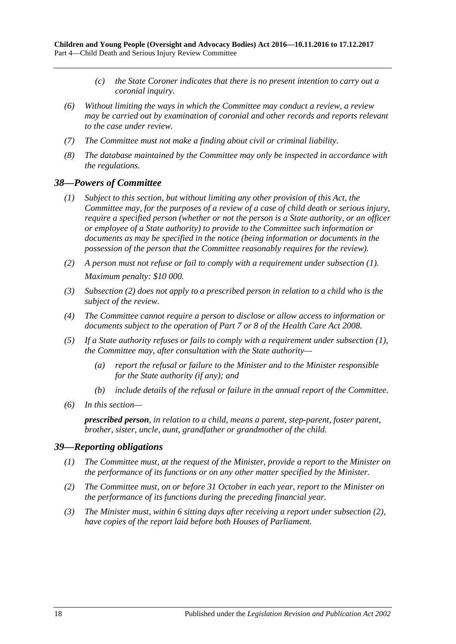- *(c) the State Coroner indicates that there is no present intention to carry out a coronial inquiry.*
- *(6) Without limiting the ways in which the Committee may conduct a review, a review may be carried out by examination of coronial and other records and reports relevant to the case under review.*
- *(7) The Committee must not make a finding about civil or criminal liability.*
- *(8) The database maintained by the Committee may only be inspected in accordance with the regulations.*

#### <span id="page-17-2"></span><span id="page-17-0"></span>*38—Powers of Committee*

- *(1) Subject to this section, but without limiting any other provision of this Act, the Committee may, for the purposes of a review of a case of child death or serious injury, require a specified person (whether or not the person is a State authority, or an officer or employee of a State authority) to provide to the Committee such information or documents as may be specified in the notice (being information or documents in the possession of the person that the Committee reasonably requires for the review).*
- <span id="page-17-3"></span>*(2) A person must not refuse or fail to comply with a requirement under [subsection](#page-17-2) (1). Maximum penalty: \$10 000.*
- *(3) [Subsection](#page-17-3) (2) does not apply to a prescribed person in relation to a child who is the subject of the review.*
- *(4) The Committee cannot require a person to disclose or allow access to information or documents subject to the operation of Part 7 or 8 of the [Health Care Act](http://www.legislation.sa.gov.au/index.aspx?action=legref&type=act&legtitle=Health%20Care%20Act%202008) 2008.*
- *(5) If a State authority refuses or fails to comply with a requirement under [subsection](#page-17-2) (1), the Committee may, after consultation with the State authority—*
	- *(a) report the refusal or failure to the Minister and to the Minister responsible for the State authority (if any); and*
	- *(b) include details of the refusal or failure in the annual report of the Committee.*
- *(6) In this section—*

*prescribed person, in relation to a child, means a parent, step-parent, foster parent, brother, sister, uncle, aunt, grandfather or grandmother of the child.*

#### <span id="page-17-1"></span>*39—Reporting obligations*

- *(1) The Committee must, at the request of the Minister, provide a report to the Minister on the performance of its functions or on any other matter specified by the Minister.*
- <span id="page-17-4"></span>*(2) The Committee must, on or before 31 October in each year, report to the Minister on the performance of its functions during the preceding financial year.*
- *(3) The Minister must, within 6 sitting days after receiving a report under [subsection](#page-17-4) (2), have copies of the report laid before both Houses of Parliament.*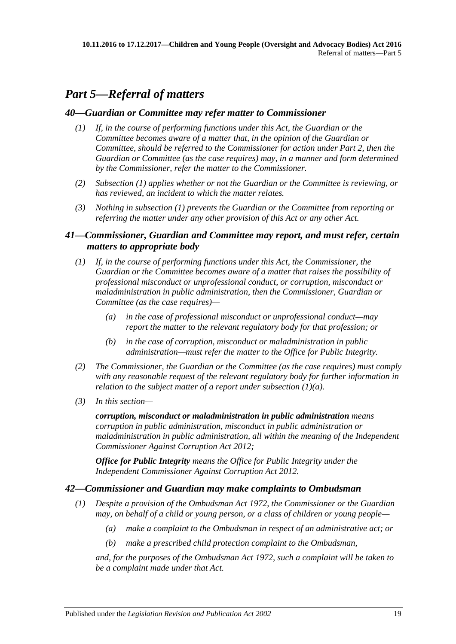# <span id="page-18-0"></span>*Part 5—Referral of matters*

## <span id="page-18-4"></span><span id="page-18-1"></span>*40—Guardian or Committee may refer matter to Commissioner*

- *(1) If, in the course of performing functions under this Act, the Guardian or the Committee becomes aware of a matter that, in the opinion of the Guardian or Committee, should be referred to the Commissioner for action under [Part](#page-4-3) 2, then the Guardian or Committee (as the case requires) may, in a manner and form determined by the Commissioner, refer the matter to the Commissioner.*
- *(2) [Subsection](#page-18-4) (1) applies whether or not the Guardian or the Committee is reviewing, or has reviewed, an incident to which the matter relates.*
- *(3) Nothing in [subsection](#page-18-4) (1) prevents the Guardian or the Committee from reporting or referring the matter under any other provision of this Act or any other Act.*

# <span id="page-18-2"></span>*41—Commissioner, Guardian and Committee may report, and must refer, certain matters to appropriate body*

- <span id="page-18-5"></span>*(1) If, in the course of performing functions under this Act, the Commissioner, the Guardian or the Committee becomes aware of a matter that raises the possibility of professional misconduct or unprofessional conduct, or corruption, misconduct or maladministration in public administration, then the Commissioner, Guardian or Committee (as the case requires)—*
	- *(a) in the case of professional misconduct or unprofessional conduct—may report the matter to the relevant regulatory body for that profession; or*
	- *(b) in the case of corruption, misconduct or maladministration in public administration—must refer the matter to the Office for Public Integrity.*
- *(2) The Commissioner, the Guardian or the Committee (as the case requires) must comply with any reasonable request of the relevant regulatory body for further information in relation to the subject matter of a report under [subsection](#page-18-5) (1)(a).*
- *(3) In this section—*

*corruption, misconduct or maladministration in public administration means corruption in public administration, misconduct in public administration or maladministration in public administration, all within the meaning of the [Independent](http://www.legislation.sa.gov.au/index.aspx?action=legref&type=act&legtitle=Independent%20Commissioner%20Against%20Corruption%20Act%202012)  [Commissioner Against Corruption Act](http://www.legislation.sa.gov.au/index.aspx?action=legref&type=act&legtitle=Independent%20Commissioner%20Against%20Corruption%20Act%202012) 2012;*

*Office for Public Integrity means the Office for Public Integrity under the [Independent Commissioner Against Corruption Act](http://www.legislation.sa.gov.au/index.aspx?action=legref&type=act&legtitle=Independent%20Commissioner%20Against%20Corruption%20Act%202012) 2012.*

## <span id="page-18-3"></span>*42—Commissioner and Guardian may make complaints to Ombudsman*

- <span id="page-18-6"></span>*(1) Despite a provision of the [Ombudsman Act](http://www.legislation.sa.gov.au/index.aspx?action=legref&type=act&legtitle=Ombudsman%20Act%201972) 1972, the Commissioner or the Guardian may, on behalf of a child or young person, or a class of children or young people—*
	- *(a) make a complaint to the Ombudsman in respect of an administrative act; or*
	- *(b) make a prescribed child protection complaint to the Ombudsman,*

*and, for the purposes of the [Ombudsman Act](http://www.legislation.sa.gov.au/index.aspx?action=legref&type=act&legtitle=Ombudsman%20Act%201972) 1972, such a complaint will be taken to be a complaint made under that Act.*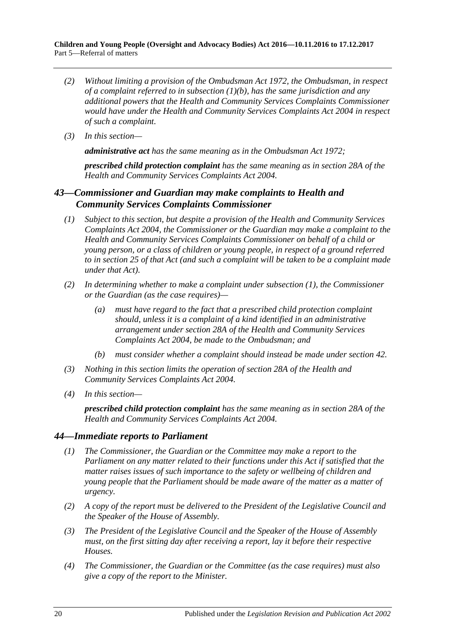- *(2) Without limiting a provision of the [Ombudsman Act](http://www.legislation.sa.gov.au/index.aspx?action=legref&type=act&legtitle=Ombudsman%20Act%201972) 1972, the Ombudsman, in respect of a complaint referred to in [subsection](#page-18-6) (1)(b), has the same jurisdiction and any additional powers that the Health and Community Services Complaints Commissioner would have under the [Health and Community Services Complaints Act](http://www.legislation.sa.gov.au/index.aspx?action=legref&type=act&legtitle=Health%20and%20Community%20Services%20Complaints%20Act%202004) 2004 in respect of such a complaint.*
- *(3) In this section—*

*administrative act has the same meaning as in th[e Ombudsman Act](http://www.legislation.sa.gov.au/index.aspx?action=legref&type=act&legtitle=Ombudsman%20Act%201972) 1972;*

*prescribed child protection complaint has the same meaning as in section 28A of the [Health and Community Services Complaints Act](http://www.legislation.sa.gov.au/index.aspx?action=legref&type=act&legtitle=Health%20and%20Community%20Services%20Complaints%20Act%202004) 2004.*

# <span id="page-19-0"></span>*43—Commissioner and Guardian may make complaints to Health and Community Services Complaints Commissioner*

- <span id="page-19-2"></span>*(1) Subject to this section, but despite a provision of the [Health and Community Services](http://www.legislation.sa.gov.au/index.aspx?action=legref&type=act&legtitle=Health%20and%20Community%20Services%20Complaints%20Act%202004)  [Complaints Act](http://www.legislation.sa.gov.au/index.aspx?action=legref&type=act&legtitle=Health%20and%20Community%20Services%20Complaints%20Act%202004) 2004, the Commissioner or the Guardian may make a complaint to the Health and Community Services Complaints Commissioner on behalf of a child or young person, or a class of children or young people, in respect of a ground referred to in section 25 of that Act (and such a complaint will be taken to be a complaint made under that Act).*
- *(2) In determining whether to make a complaint under [subsection](#page-19-2) (1), the Commissioner or the Guardian (as the case requires)—*
	- *(a) must have regard to the fact that a prescribed child protection complaint should, unless it is a complaint of a kind identified in an administrative arrangement under section 28A of the [Health and Community Services](http://www.legislation.sa.gov.au/index.aspx?action=legref&type=act&legtitle=Health%20and%20Community%20Services%20Complaints%20Act%202004)  [Complaints Act](http://www.legislation.sa.gov.au/index.aspx?action=legref&type=act&legtitle=Health%20and%20Community%20Services%20Complaints%20Act%202004) 2004, be made to the Ombudsman; and*
	- *(b) must consider whether a complaint should instead be made under [section](#page-18-3) 42.*
- *(3) Nothing in this section limits the operation of section 28A of the [Health and](http://www.legislation.sa.gov.au/index.aspx?action=legref&type=act&legtitle=Health%20and%20Community%20Services%20Complaints%20Act%202004)  [Community Services Complaints Act](http://www.legislation.sa.gov.au/index.aspx?action=legref&type=act&legtitle=Health%20and%20Community%20Services%20Complaints%20Act%202004) 2004.*
- *(4) In this section—*

*prescribed child protection complaint has the same meaning as in section 28A of the Health and [Community Services Complaints Act](http://www.legislation.sa.gov.au/index.aspx?action=legref&type=act&legtitle=Health%20and%20Community%20Services%20Complaints%20Act%202004) 2004.*

## <span id="page-19-1"></span>*44—Immediate reports to Parliament*

- *(1) The Commissioner, the Guardian or the Committee may make a report to the Parliament on any matter related to their functions under this Act if satisfied that the matter raises issues of such importance to the safety or wellbeing of children and young people that the Parliament should be made aware of the matter as a matter of urgency.*
- *(2) A copy of the report must be delivered to the President of the Legislative Council and the Speaker of the House of Assembly.*
- *(3) The President of the Legislative Council and the Speaker of the House of Assembly must, on the first sitting day after receiving a report, lay it before their respective Houses.*
- *(4) The Commissioner, the Guardian or the Committee (as the case requires) must also give a copy of the report to the Minister.*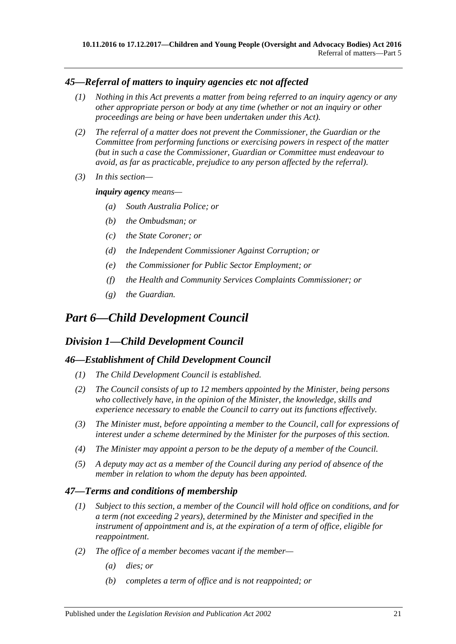# <span id="page-20-0"></span>*45—Referral of matters to inquiry agencies etc not affected*

- *(1) Nothing in this Act prevents a matter from being referred to an inquiry agency or any other appropriate person or body at any time (whether or not an inquiry or other proceedings are being or have been undertaken under this Act).*
- *(2) The referral of a matter does not prevent the Commissioner, the Guardian or the Committee from performing functions or exercising powers in respect of the matter (but in such a case the Commissioner, Guardian or Committee must endeavour to avoid, as far as practicable, prejudice to any person affected by the referral).*
- *(3) In this section—*

#### *inquiry agency means—*

- *(a) South Australia Police; or*
- *(b) the Ombudsman; or*
- *(c) the State Coroner; or*
- *(d) the Independent Commissioner Against Corruption; or*
- *(e) the Commissioner for Public Sector Employment; or*
- *(f) the Health and Community Services Complaints Commissioner; or*
- *(g) the Guardian.*

# <span id="page-20-1"></span>*Part 6—Child Development Council*

# <span id="page-20-2"></span>*Division 1—Child Development Council*

## <span id="page-20-3"></span>*46—Establishment of Child Development Council*

- *(1) The Child Development Council is established.*
- *(2) The Council consists of up to 12 members appointed by the Minister, being persons who collectively have, in the opinion of the Minister, the knowledge, skills and experience necessary to enable the Council to carry out its functions effectively.*
- *(3) The Minister must, before appointing a member to the Council, call for expressions of interest under a scheme determined by the Minister for the purposes of this section.*
- *(4) The Minister may appoint a person to be the deputy of a member of the Council.*
- *(5) A deputy may act as a member of the Council during any period of absence of the member in relation to whom the deputy has been appointed.*

## <span id="page-20-4"></span>*47—Terms and conditions of membership*

- *(1) Subject to this section, a member of the Council will hold office on conditions, and for a term (not exceeding 2 years), determined by the Minister and specified in the instrument of appointment and is, at the expiration of a term of office, eligible for reappointment.*
- *(2) The office of a member becomes vacant if the member—*
	- *(a) dies; or*
	- *(b) completes a term of office and is not reappointed; or*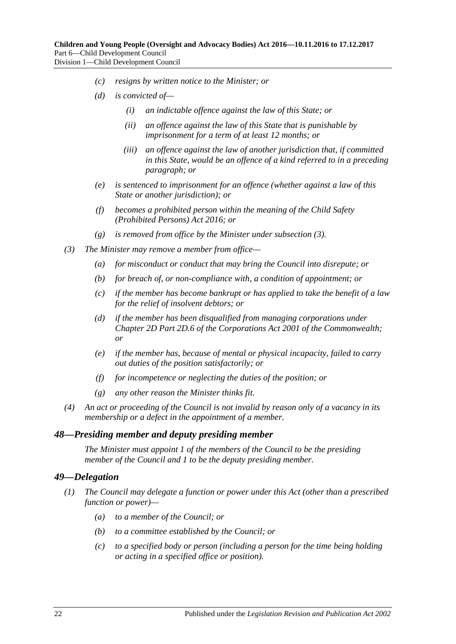- *(c) resigns by written notice to the Minister; or*
- *(d) is convicted of—*
	- *(i) an indictable offence against the law of this State; or*
	- *(ii) an offence against the law of this State that is punishable by imprisonment for a term of at least 12 months; or*
	- *(iii) an offence against the law of another jurisdiction that, if committed in this State, would be an offence of a kind referred to in a preceding paragraph; or*
- *(e) is sentenced to imprisonment for an offence (whether against a law of this State or another jurisdiction); or*
- *(f) becomes a prohibited person within the meaning of the [Child Safety](http://www.legislation.sa.gov.au/index.aspx?action=legref&type=act&legtitle=Child%20Safety%20(Prohibited%20Persons)%20Act%202016)  [\(Prohibited Persons\) Act 2016;](http://www.legislation.sa.gov.au/index.aspx?action=legref&type=act&legtitle=Child%20Safety%20(Prohibited%20Persons)%20Act%202016) or*
- *(g) is removed from office by the Minister under [subsection](#page-21-2) (3).*
- <span id="page-21-2"></span>*(3) The Minister may remove a member from office—*
	- *(a) for misconduct or conduct that may bring the Council into disrepute; or*
	- *(b) for breach of, or non-compliance with, a condition of appointment; or*
	- *(c) if the member has become bankrupt or has applied to take the benefit of a law for the relief of insolvent debtors; or*
	- *(d) if the member has been disqualified from managing corporations under Chapter 2D Part 2D.6 of the Corporations Act 2001 of the Commonwealth; or*
	- *(e) if the member has, because of mental or physical incapacity, failed to carry out duties of the position satisfactorily; or*
	- *(f) for incompetence or neglecting the duties of the position; or*
	- *(g) any other reason the Minister thinks fit.*
- *(4) An act or proceeding of the Council is not invalid by reason only of a vacancy in its membership or a defect in the appointment of a member.*

#### <span id="page-21-0"></span>*48—Presiding member and deputy presiding member*

*The Minister must appoint 1 of the members of the Council to be the presiding member of the Council and 1 to be the deputy presiding member.*

#### <span id="page-21-1"></span>*49—Delegation*

- *(1) The Council may delegate a function or power under this Act (other than a prescribed function or power)—*
	- *(a) to a member of the Council; or*
	- *(b) to a committee established by the Council; or*
	- *(c) to a specified body or person (including a person for the time being holding or acting in a specified office or position).*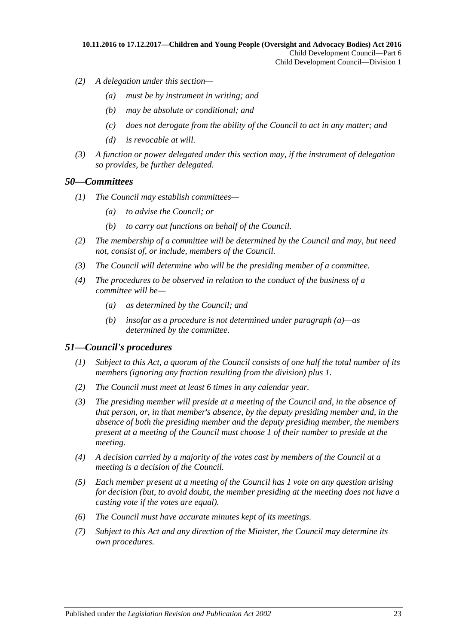- *(2) A delegation under this section—*
	- *(a) must be by instrument in writing; and*
	- *(b) may be absolute or conditional; and*
	- *(c) does not derogate from the ability of the Council to act in any matter; and*
	- *(d) is revocable at will.*
- *(3) A function or power delegated under this section may, if the instrument of delegation so provides, be further delegated.*

#### <span id="page-22-0"></span>*50—Committees*

- *(1) The Council may establish committees—*
	- *(a) to advise the Council; or*
	- *(b) to carry out functions on behalf of the Council.*
- *(2) The membership of a committee will be determined by the Council and may, but need not, consist of, or include, members of the Council.*
- *(3) The Council will determine who will be the presiding member of a committee.*
- <span id="page-22-2"></span>*(4) The procedures to be observed in relation to the conduct of the business of a committee will be—*
	- *(a) as determined by the Council; and*
	- *(b) insofar as a procedure is not determined under [paragraph](#page-22-2) (a)—as determined by the committee.*

## <span id="page-22-1"></span>*51—Council's procedures*

- *(1) Subject to this Act, a quorum of the Council consists of one half the total number of its members (ignoring any fraction resulting from the division) plus 1.*
- *(2) The Council must meet at least 6 times in any calendar year.*
- *(3) The presiding member will preside at a meeting of the Council and, in the absence of that person, or, in that member's absence, by the deputy presiding member and, in the absence of both the presiding member and the deputy presiding member, the members present at a meeting of the Council must choose 1 of their number to preside at the meeting.*
- *(4) A decision carried by a majority of the votes cast by members of the Council at a meeting is a decision of the Council.*
- *(5) Each member present at a meeting of the Council has 1 vote on any question arising for decision (but, to avoid doubt, the member presiding at the meeting does not have a casting vote if the votes are equal).*
- *(6) The Council must have accurate minutes kept of its meetings.*
- *(7) Subject to this Act and any direction of the Minister, the Council may determine its own procedures.*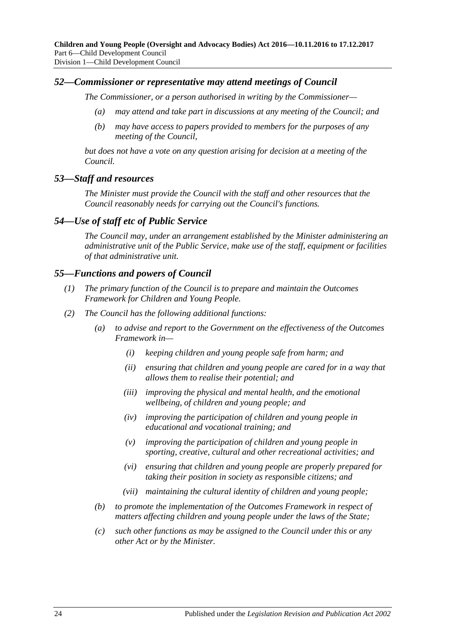## <span id="page-23-0"></span>*52—Commissioner or representative may attend meetings of Council*

*The Commissioner, or a person authorised in writing by the Commissioner—*

- *(a) may attend and take part in discussions at any meeting of the Council; and*
- *(b) may have access to papers provided to members for the purposes of any meeting of the Council,*

*but does not have a vote on any question arising for decision at a meeting of the Council.*

## <span id="page-23-1"></span>*53—Staff and resources*

*The Minister must provide the Council with the staff and other resources that the Council reasonably needs for carrying out the Council's functions.*

## <span id="page-23-2"></span>*54—Use of staff etc of Public Service*

*The Council may, under an arrangement established by the Minister administering an administrative unit of the Public Service, make use of the staff, equipment or facilities of that administrative unit.*

## <span id="page-23-3"></span>*55—Functions and powers of Council*

- *(1) The primary function of the Council is to prepare and maintain the Outcomes Framework for Children and Young People.*
- *(2) The Council has the following additional functions:*
	- *(a) to advise and report to the Government on the effectiveness of the Outcomes Framework in—*
		- *(i) keeping children and young people safe from harm; and*
		- *(ii) ensuring that children and young people are cared for in a way that allows them to realise their potential; and*
		- *(iii) improving the physical and mental health, and the emotional wellbeing, of children and young people; and*
		- *(iv) improving the participation of children and young people in educational and vocational training; and*
		- *(v) improving the participation of children and young people in sporting, creative, cultural and other recreational activities; and*
		- *(vi) ensuring that children and young people are properly prepared for taking their position in society as responsible citizens; and*
		- *(vii) maintaining the cultural identity of children and young people;*
	- *(b) to promote the implementation of the Outcomes Framework in respect of matters affecting children and young people under the laws of the State;*
	- *(c) such other functions as may be assigned to the Council under this or any other Act or by the Minister.*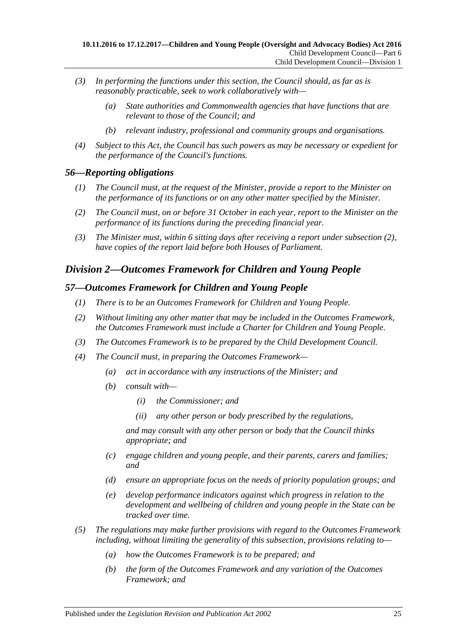- *(3) In performing the functions under this section, the Council should, as far as is reasonably practicable, seek to work collaboratively with—*
	- *(a) State authorities and Commonwealth agencies that have functions that are relevant to those of the Council; and*
	- *(b) relevant industry, professional and community groups and organisations.*
- *(4) Subject to this Act, the Council has such powers as may be necessary or expedient for the performance of the Council's functions.*

#### <span id="page-24-0"></span>*56—Reporting obligations*

- *(1) The Council must, at the request of the Minister, provide a report to the Minister on the performance of its functions or on any other matter specified by the Minister.*
- <span id="page-24-3"></span>*(2) The Council must, on or before 31 October in each year, report to the Minister on the performance of its functions during the preceding financial year.*
- *(3) The Minister must, within 6 sitting days after receiving a report under [subsection](#page-24-3) (2), have copies of the report laid before both Houses of Parliament.*

# <span id="page-24-1"></span>*Division 2—Outcomes Framework for Children and Young People*

#### <span id="page-24-2"></span>*57—Outcomes Framework for Children and Young People*

- *(1) There is to be an Outcomes Framework for Children and Young People.*
- *(2) Without limiting any other matter that may be included in the Outcomes Framework, the Outcomes Framework must include a Charter for Children and Young People.*
- *(3) The Outcomes Framework is to be prepared by the Child Development Council.*
- *(4) The Council must, in preparing the Outcomes Framework—*
	- *(a) act in accordance with any instructions of the Minister; and*
	- *(b) consult with—*
		- *(i) the Commissioner; and*
		- *(ii) any other person or body prescribed by the regulations,*

*and may consult with any other person or body that the Council thinks appropriate; and*

- *(c) engage children and young people, and their parents, carers and families; and*
- *(d) ensure an appropriate focus on the needs of priority population groups; and*
- *(e) develop performance indicators against which progress in relation to the development and wellbeing of children and young people in the State can be tracked over time.*
- *(5) The regulations may make further provisions with regard to the Outcomes Framework including, without limiting the generality of this subsection, provisions relating to—*
	- *(a) how the Outcomes Framework is to be prepared; and*
	- *(b) the form of the Outcomes Framework and any variation of the Outcomes Framework; and*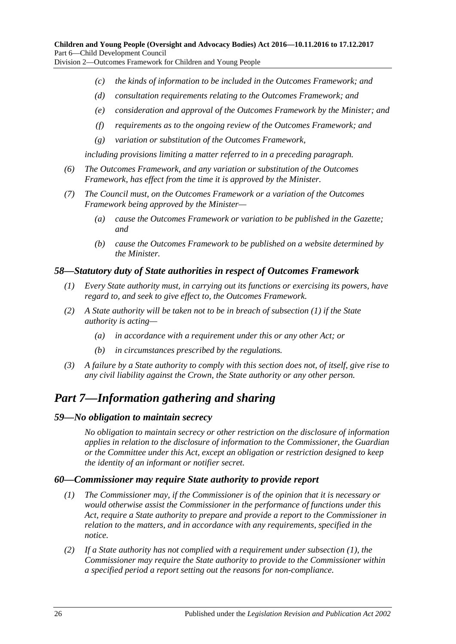Division 2—Outcomes Framework for Children and Young People

- *(c) the kinds of information to be included in the Outcomes Framework; and*
- *(d) consultation requirements relating to the Outcomes Framework; and*
- *(e) consideration and approval of the Outcomes Framework by the Minister; and*
- *(f) requirements as to the ongoing review of the Outcomes Framework; and*
- *(g) variation or substitution of the Outcomes Framework,*

*including provisions limiting a matter referred to in a preceding paragraph.*

- *(6) The Outcomes Framework, and any variation or substitution of the Outcomes Framework, has effect from the time it is approved by the Minister.*
- *(7) The Council must, on the Outcomes Framework or a variation of the Outcomes Framework being approved by the Minister—*
	- *(a) cause the Outcomes Framework or variation to be published in the Gazette; and*
	- *(b) cause the Outcomes Framework to be published on a website determined by the Minister.*

#### <span id="page-25-4"></span><span id="page-25-0"></span>*58—Statutory duty of State authorities in respect of Outcomes Framework*

- *(1) Every State authority must, in carrying out its functions or exercising its powers, have regard to, and seek to give effect to, the Outcomes Framework.*
- *(2) A State authority will be taken not to be in breach of [subsection](#page-25-4) (1) if the State authority is acting—*
	- *(a) in accordance with a requirement under this or any other Act; or*
	- *(b) in circumstances prescribed by the regulations.*
- *(3) A failure by a State authority to comply with this section does not, of itself, give rise to any civil liability against the Crown, the State authority or any other person.*

# <span id="page-25-1"></span>*Part 7—Information gathering and sharing*

#### <span id="page-25-2"></span>*59—No obligation to maintain secrecy*

*No obligation to maintain secrecy or other restriction on the disclosure of information applies in relation to the disclosure of information to the Commissioner, the Guardian or the Committee under this Act, except an obligation or restriction designed to keep the identity of an informant or notifier secret.*

## <span id="page-25-5"></span><span id="page-25-3"></span>*60—Commissioner may require State authority to provide report*

- *(1) The Commissioner may, if the Commissioner is of the opinion that it is necessary or would otherwise assist the Commissioner in the performance of functions under this Act, require a State authority to prepare and provide a report to the Commissioner in relation to the matters, and in accordance with any requirements, specified in the notice.*
- <span id="page-25-6"></span>*(2) If a State authority has not complied with a requirement under [subsection](#page-25-5) (1), the Commissioner may require the State authority to provide to the Commissioner within a specified period a report setting out the reasons for non-compliance.*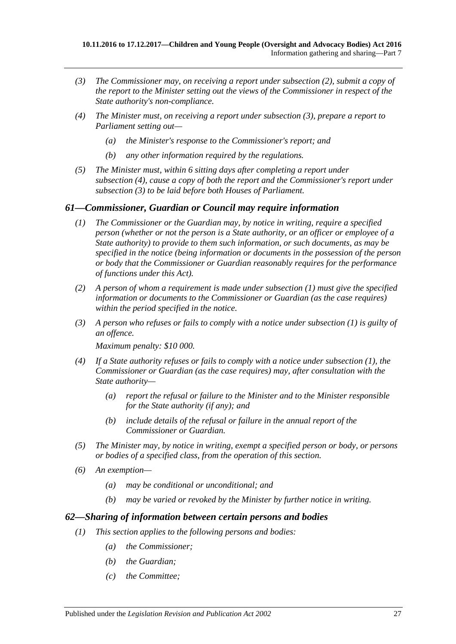- <span id="page-26-2"></span>*(3) The Commissioner may, on receiving a report under [subsection](#page-25-6) (2), submit a copy of the report to the Minister setting out the views of the Commissioner in respect of the State authority's non-compliance.*
- <span id="page-26-3"></span>*(4) The Minister must, on receiving a report under [subsection](#page-26-2) (3), prepare a report to Parliament setting out—*
	- *(a) the Minister's response to the Commissioner's report; and*
	- *(b) any other information required by the regulations.*
- *(5) The Minister must, within 6 sitting days after completing a report under [subsection](#page-26-3) (4), cause a copy of both the report and the Commissioner's report under [subsection](#page-26-2) (3) to be laid before both Houses of Parliament.*

## <span id="page-26-4"></span><span id="page-26-0"></span>*61—Commissioner, Guardian or Council may require information*

- *(1) The Commissioner or the Guardian may, by notice in writing, require a specified person (whether or not the person is a State authority, or an officer or employee of a State authority) to provide to them such information, or such documents, as may be specified in the notice (being information or documents in the possession of the person or body that the Commissioner or Guardian reasonably requires for the performance of functions under this Act).*
- *(2) A person of whom a requirement is made under [subsection](#page-26-4) (1) must give the specified information or documents to the Commissioner or Guardian (as the case requires) within the period specified in the notice.*
- *(3) A person who refuses or fails to comply with a notice under [subsection](#page-26-4) (1) is guilty of an offence.*

*Maximum penalty: \$10 000.*

- *(4) If a State authority refuses or fails to comply with a notice under [subsection](#page-26-4) (1), the Commissioner or Guardian (as the case requires) may, after consultation with the State authority—*
	- *(a) report the refusal or failure to the Minister and to the Minister responsible for the State authority (if any); and*
	- *(b) include details of the refusal or failure in the annual report of the Commissioner or Guardian.*
- *(5) The Minister may, by notice in writing, exempt a specified person or body, or persons or bodies of a specified class, from the operation of this section.*
- *(6) An exemption—*
	- *(a) may be conditional or unconditional; and*
	- *(b) may be varied or revoked by the Minister by further notice in writing.*

## <span id="page-26-1"></span>*62—Sharing of information between certain persons and bodies*

- *(1) This section applies to the following persons and bodies:*
	- *(a) the Commissioner;*
	- *(b) the Guardian;*
	- *(c) the Committee;*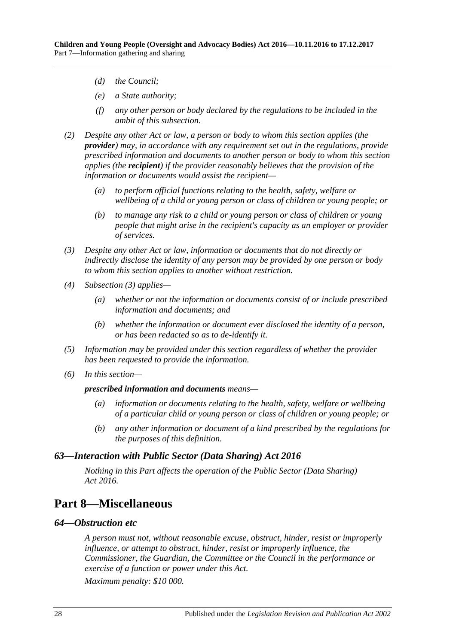- *(d) the Council;*
- *(e) a State authority;*
- *(f) any other person or body declared by the regulations to be included in the ambit of this subsection.*
- *(2) Despite any other Act or law, a person or body to whom this section applies (the provider) may, in accordance with any requirement set out in the regulations, provide prescribed information and documents to another person or body to whom this section applies (the recipient) if the provider reasonably believes that the provision of the information or documents would assist the recipient—*
	- *(a) to perform official functions relating to the health, safety, welfare or wellbeing of a child or young person or class of children or young people; or*
	- *(b) to manage any risk to a child or young person or class of children or young people that might arise in the recipient's capacity as an employer or provider of services.*
- <span id="page-27-3"></span>*(3) Despite any other Act or law, information or documents that do not directly or indirectly disclose the identity of any person may be provided by one person or body to whom this section applies to another without restriction.*
- *(4) [Subsection](#page-27-3) (3) applies—*
	- *(a) whether or not the information or documents consist of or include prescribed information and documents; and*
	- *(b) whether the information or document ever disclosed the identity of a person, or has been redacted so as to de-identify it.*
- *(5) Information may be provided under this section regardless of whether the provider has been requested to provide the information.*
- *(6) In this section—*

#### *prescribed information and documents means—*

- *(a) information or documents relating to the health, safety, welfare or wellbeing of a particular child or young person or class of children or young people; or*
- *(b) any other information or document of a kind prescribed by the regulations for the purposes of this definition.*

#### <span id="page-27-0"></span>*63—Interaction with Public Sector (Data Sharing) Act 2016*

*Nothing in this Part affects the operation of the [Public Sector \(Data Sharing\)](http://www.legislation.sa.gov.au/index.aspx?action=legref&type=act&legtitle=Public%20Sector%20(Data%20Sharing)%20Act%202016)  Act [2016.](http://www.legislation.sa.gov.au/index.aspx?action=legref&type=act&legtitle=Public%20Sector%20(Data%20Sharing)%20Act%202016)*

# <span id="page-27-1"></span>**Part 8—Miscellaneous**

#### <span id="page-27-2"></span>*64—Obstruction etc*

*A person must not, without reasonable excuse, obstruct, hinder, resist or improperly influence, or attempt to obstruct, hinder, resist or improperly influence, the Commissioner, the Guardian, the Committee or the Council in the performance or exercise of a function or power under this Act.*

*Maximum penalty: \$10 000.*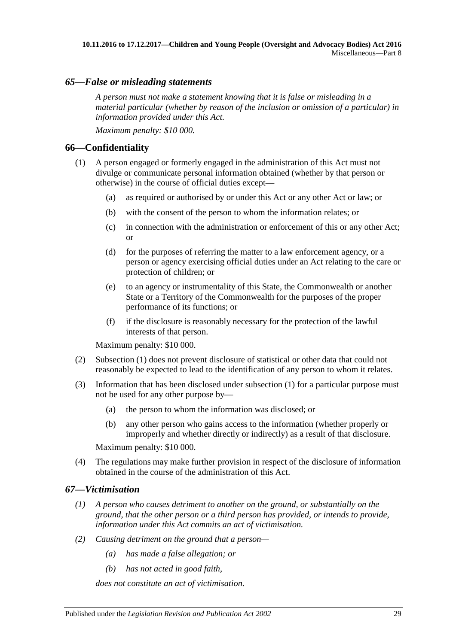#### <span id="page-28-0"></span>*65—False or misleading statements*

*A person must not make a statement knowing that it is false or misleading in a material particular (whether by reason of the inclusion or omission of a particular) in information provided under this Act.*

*Maximum penalty: \$10 000.*

#### <span id="page-28-3"></span><span id="page-28-1"></span>**66—Confidentiality**

- (1) A person engaged or formerly engaged in the administration of this Act must not divulge or communicate personal information obtained (whether by that person or otherwise) in the course of official duties except—
	- (a) as required or authorised by or under this Act or any other Act or law; or
	- (b) with the consent of the person to whom the information relates; or
	- (c) in connection with the administration or enforcement of this or any other Act; or
	- (d) for the purposes of referring the matter to a law enforcement agency, or a person or agency exercising official duties under an Act relating to the care or protection of children; or
	- (e) to an agency or instrumentality of this State, the Commonwealth or another State or a Territory of the Commonwealth for the purposes of the proper performance of its functions; or
	- (f) if the disclosure is reasonably necessary for the protection of the lawful interests of that person.

Maximum penalty: \$10 000.

- (2) [Subsection](#page-28-3) (1) does not prevent disclosure of statistical or other data that could not reasonably be expected to lead to the identification of any person to whom it relates.
- (3) Information that has been disclosed under [subsection](#page-28-3) (1) for a particular purpose must not be used for any other purpose by—
	- (a) the person to whom the information was disclosed; or
	- (b) any other person who gains access to the information (whether properly or improperly and whether directly or indirectly) as a result of that disclosure.

Maximum penalty: \$10 000.

(4) The regulations may make further provision in respect of the disclosure of information obtained in the course of the administration of this Act.

#### <span id="page-28-2"></span>*67—Victimisation*

- *(1) A person who causes detriment to another on the ground, or substantially on the ground, that the other person or a third person has provided, or intends to provide, information under this Act commits an act of victimisation.*
- *(2) Causing detriment on the ground that a person—*
	- *(a) has made a false allegation; or*
	- *(b) has not acted in good faith,*

*does not constitute an act of victimisation.*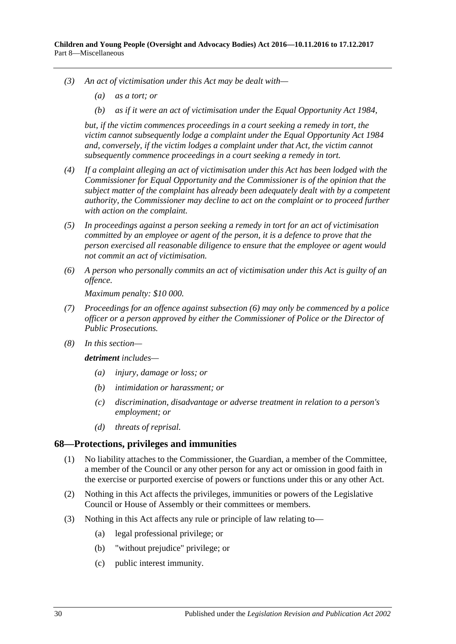- *(3) An act of victimisation under this Act may be dealt with—*
	- *(a) as a tort; or*
	- *(b) as if it were an act of victimisation under the [Equal Opportunity Act](http://www.legislation.sa.gov.au/index.aspx?action=legref&type=act&legtitle=Equal%20Opportunity%20Act%201984) 1984,*

*but, if the victim commences proceedings in a court seeking a remedy in tort, the victim cannot subsequently lodge a complaint under the [Equal Opportunity Act](http://www.legislation.sa.gov.au/index.aspx?action=legref&type=act&legtitle=Equal%20Opportunity%20Act%201984) 1984 and, conversely, if the victim lodges a complaint under that Act, the victim cannot subsequently commence proceedings in a court seeking a remedy in tort.*

- *(4) If a complaint alleging an act of victimisation under this Act has been lodged with the Commissioner for Equal Opportunity and the Commissioner is of the opinion that the subject matter of the complaint has already been adequately dealt with by a competent authority, the Commissioner may decline to act on the complaint or to proceed further with action on the complaint.*
- *(5) In proceedings against a person seeking a remedy in tort for an act of victimisation committed by an employee or agent of the person, it is a defence to prove that the person exercised all reasonable diligence to ensure that the employee or agent would not commit an act of victimisation.*
- <span id="page-29-1"></span>*(6) A person who personally commits an act of victimisation under this Act is guilty of an offence.*

*Maximum penalty: \$10 000.*

- *(7) Proceedings for an offence against [subsection](#page-29-1) (6) may only be commenced by a police officer or a person approved by either the Commissioner of Police or the Director of Public Prosecutions.*
- *(8) In this section—*

*detriment includes—*

- *(a) injury, damage or loss; or*
- *(b) intimidation or harassment; or*
- *(c) discrimination, disadvantage or adverse treatment in relation to a person's employment; or*
- *(d) threats of reprisal.*

#### <span id="page-29-0"></span>**68—Protections, privileges and immunities**

- (1) No liability attaches to the Commissioner, the Guardian, a member of the Committee, a member of the Council or any other person for any act or omission in good faith in the exercise or purported exercise of powers or functions under this or any other Act.
- (2) Nothing in this Act affects the privileges, immunities or powers of the Legislative Council or House of Assembly or their committees or members.
- (3) Nothing in this Act affects any rule or principle of law relating to—
	- (a) legal professional privilege; or
	- (b) "without prejudice" privilege; or
	- (c) public interest immunity.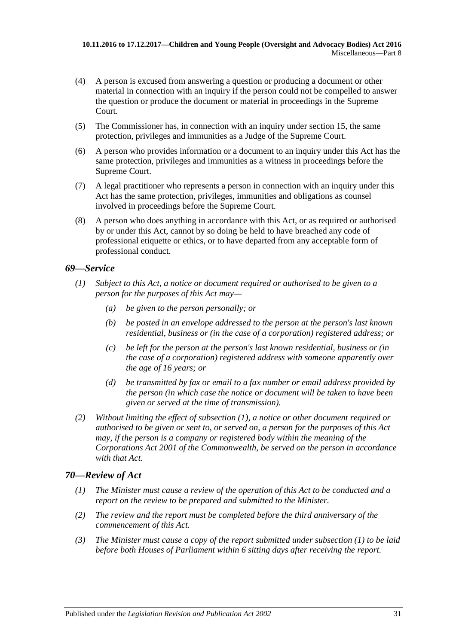- (4) A person is excused from answering a question or producing a document or other material in connection with an inquiry if the person could not be compelled to answer the question or produce the document or material in proceedings in the Supreme Court.
- (5) The Commissioner has, in connection with an inquiry under [section](#page-8-0) 15, the same protection, privileges and immunities as a Judge of the Supreme Court.
- (6) A person who provides information or a document to an inquiry under this Act has the same protection, privileges and immunities as a witness in proceedings before the Supreme Court.
- (7) A legal practitioner who represents a person in connection with an inquiry under this Act has the same protection, privileges, immunities and obligations as counsel involved in proceedings before the Supreme Court.
- (8) A person who does anything in accordance with this Act, or as required or authorised by or under this Act, cannot by so doing be held to have breached any code of professional etiquette or ethics, or to have departed from any acceptable form of professional conduct.

#### <span id="page-30-2"></span><span id="page-30-0"></span>*69—Service*

- *(1) Subject to this Act, a notice or document required or authorised to be given to a person for the purposes of this Act may—*
	- *(a) be given to the person personally; or*
	- *(b) be posted in an envelope addressed to the person at the person's last known residential, business or (in the case of a corporation) registered address; or*
	- *(c) be left for the person at the person's last known residential, business or (in the case of a corporation) registered address with someone apparently over the age of 16 years; or*
	- *(d) be transmitted by fax or email to a fax number or email address provided by the person (in which case the notice or document will be taken to have been given or served at the time of transmission).*
- *(2) Without limiting the effect of [subsection](#page-30-2) (1), a notice or other document required or authorised to be given or sent to, or served on, a person for the purposes of this Act may, if the person is a company or registered body within the meaning of the Corporations Act 2001 of the Commonwealth, be served on the person in accordance with that Act.*

## <span id="page-30-3"></span><span id="page-30-1"></span>*70—Review of Act*

- *(1) The Minister must cause a review of the operation of this Act to be conducted and a report on the review to be prepared and submitted to the Minister.*
- *(2) The review and the report must be completed before the third anniversary of the commencement of this Act.*
- *(3) The Minister must cause a copy of the report submitted under [subsection](#page-30-3) (1) to be laid before both Houses of Parliament within 6 sitting days after receiving the report.*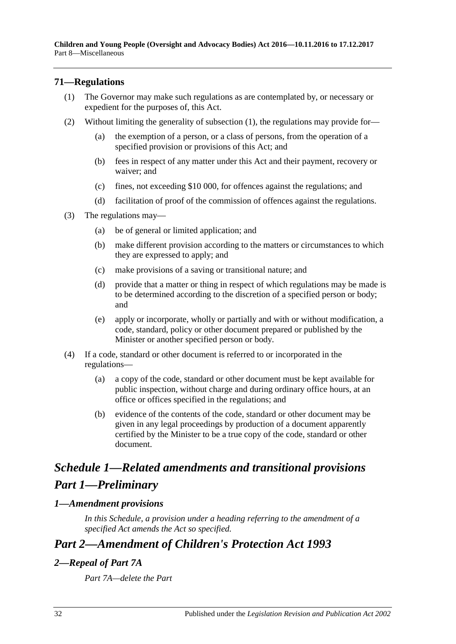# <span id="page-31-4"></span><span id="page-31-0"></span>**71—Regulations**

- (1) The Governor may make such regulations as are contemplated by, or necessary or expedient for the purposes of, this Act.
- (2) Without limiting the generality of [subsection](#page-31-4) (1), the regulations may provide for—
	- (a) the exemption of a person, or a class of persons, from the operation of a specified provision or provisions of this Act; and
	- (b) fees in respect of any matter under this Act and their payment, recovery or waiver; and
	- (c) fines, not exceeding \$10 000, for offences against the regulations; and
	- (d) facilitation of proof of the commission of offences against the regulations.
- (3) The regulations may—
	- (a) be of general or limited application; and
	- (b) make different provision according to the matters or circumstances to which they are expressed to apply; and
	- (c) make provisions of a saving or transitional nature; and
	- (d) provide that a matter or thing in respect of which regulations may be made is to be determined according to the discretion of a specified person or body; and
	- (e) apply or incorporate, wholly or partially and with or without modification, a code, standard, policy or other document prepared or published by the Minister or another specified person or body.
- (4) If a code, standard or other document is referred to or incorporated in the regulations—
	- (a) a copy of the code, standard or other document must be kept available for public inspection, without charge and during ordinary office hours, at an office or offices specified in the regulations; and
	- (b) evidence of the contents of the code, standard or other document may be given in any legal proceedings by production of a document apparently certified by the Minister to be a true copy of the code, standard or other document.

# <span id="page-31-1"></span>*Schedule 1—Related amendments and transitional provisions Part 1—Preliminary*

## <span id="page-31-2"></span>*1—Amendment provisions*

*In this Schedule, a provision under a heading referring to the amendment of a specified Act amends the Act so specified.*

# *Part 2—Amendment of Children's Protection Act 1993*

# <span id="page-31-3"></span>*2—Repeal of Part 7A*

*Part 7A—delete the Part*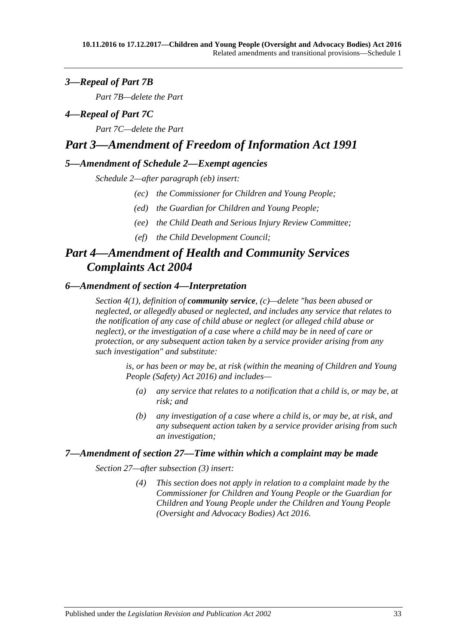# <span id="page-32-0"></span>*3—Repeal of Part 7B*

*Part 7B—delete the Part*

## <span id="page-32-1"></span>*4—Repeal of Part 7C*

*Part 7C—delete the Part*

# *Part 3—Amendment of Freedom of Information Act 1991*

#### <span id="page-32-2"></span>*5—Amendment of Schedule 2—Exempt agencies*

*Schedule 2—after paragraph (eb) insert:*

- *(ec) the Commissioner for Children and Young People;*
- *(ed) the Guardian for Children and Young People;*
- *(ee) the Child Death and Serious Injury Review Committee;*
- *(ef) the Child Development Council;*

# *Part 4—Amendment of Health and Community Services Complaints Act 2004*

## <span id="page-32-3"></span>*6—Amendment of section 4—Interpretation*

*Section 4(1), definition of community service, (c)—delete "has been abused or neglected, or allegedly abused or neglected, and includes any service that relates to the notification of any case of child abuse or neglect (or alleged child abuse or neglect), or the investigation of a case where a child may be in need of care or protection, or any subsequent action taken by a service provider arising from any such investigation" and substitute:*

*is, or has been or may be, at risk (within the meaning of [Children and Young](http://www.legislation.sa.gov.au/index.aspx?action=legref&type=act&legtitle=Children%20and%20Young%20People%20(Safety)%20Act%202016)  [People \(Safety\) Act 2016\)](http://www.legislation.sa.gov.au/index.aspx?action=legref&type=act&legtitle=Children%20and%20Young%20People%20(Safety)%20Act%202016) and includes—*

- *(a) any service that relates to a notification that a child is, or may be, at risk; and*
- *(b) any investigation of a case where a child is, or may be, at risk, and any subsequent action taken by a service provider arising from such an investigation;*

#### <span id="page-32-4"></span>*7—Amendment of section 27—Time within which a complaint may be made*

*Section 27—after subsection (3) insert:*

*(4) This section does not apply in relation to a complaint made by the Commissioner for Children and Young People or the Guardian for Children and Young People under the [Children and Young People](http://www.legislation.sa.gov.au/index.aspx?action=legref&type=act&legtitle=Children%20and%20Young%20People%20(Oversight%20and%20Advocacy%20Bodies)%20Act%202016)  [\(Oversight and Advocacy Bodies\) Act 2016.](http://www.legislation.sa.gov.au/index.aspx?action=legref&type=act&legtitle=Children%20and%20Young%20People%20(Oversight%20and%20Advocacy%20Bodies)%20Act%202016)*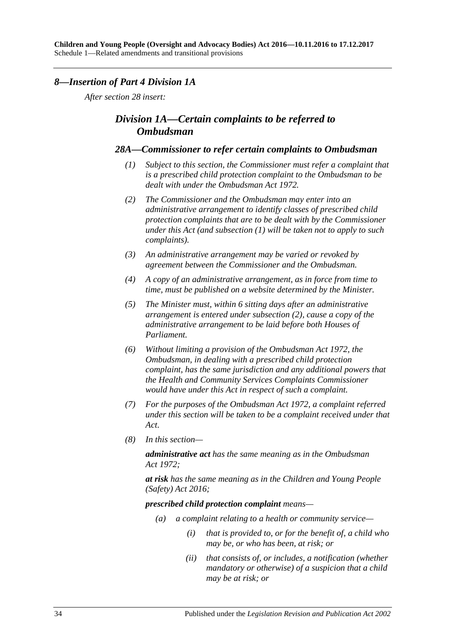#### <span id="page-33-0"></span>*8—Insertion of Part 4 Division 1A*

*After section 28 insert:*

# *Division 1A—Certain complaints to be referred to Ombudsman*

#### <span id="page-33-1"></span>*28A—Commissioner to refer certain complaints to Ombudsman*

- *(1) Subject to this section, the Commissioner must refer a complaint that is a prescribed child protection complaint to the Ombudsman to be dealt with under the [Ombudsman Act](http://www.legislation.sa.gov.au/index.aspx?action=legref&type=act&legtitle=Ombudsman%20Act%201972) 1972.*
- <span id="page-33-2"></span>*(2) The Commissioner and the Ombudsman may enter into an administrative arrangement to identify classes of prescribed child protection complaints that are to be dealt with by the Commissioner under this Act (and [subsection](#page-33-1) (1) will be taken not to apply to such complaints).*
- *(3) An administrative arrangement may be varied or revoked by agreement between the Commissioner and the Ombudsman.*
- *(4) A copy of an administrative arrangement, as in force from time to time, must be published on a website determined by the Minister.*
- *(5) The Minister must, within 6 sitting days after an administrative arrangement is entered under [subsection](#page-33-2) (2), cause a copy of the administrative arrangement to be laid before both Houses of Parliament.*
- *(6) Without limiting a provision of the [Ombudsman Act](http://www.legislation.sa.gov.au/index.aspx?action=legref&type=act&legtitle=Ombudsman%20Act%201972) 1972, the Ombudsman, in dealing with a prescribed child protection complaint, has the same jurisdiction and any additional powers that the Health and Community Services Complaints Commissioner would have under this Act in respect of such a complaint.*
- *(7) For the purposes of the [Ombudsman Act](http://www.legislation.sa.gov.au/index.aspx?action=legref&type=act&legtitle=Ombudsman%20Act%201972) 1972, a complaint referred under this section will be taken to be a complaint received under that Act.*
- *(8) In this section—*

*administrative act has the same meaning as in the [Ombudsman](http://www.legislation.sa.gov.au/index.aspx?action=legref&type=act&legtitle=Ombudsman%20Act%201972)  Act [1972;](http://www.legislation.sa.gov.au/index.aspx?action=legref&type=act&legtitle=Ombudsman%20Act%201972)*

*at risk has the same meaning as in the [Children and Young People](http://www.legislation.sa.gov.au/index.aspx?action=legref&type=act&legtitle=Children%20and%20Young%20People%20(Safety)%20Act%202016)  [\(Safety\) Act 2016;](http://www.legislation.sa.gov.au/index.aspx?action=legref&type=act&legtitle=Children%20and%20Young%20People%20(Safety)%20Act%202016)*

*prescribed child protection complaint means—*

- *(a) a complaint relating to a health or community service—*
	- *(i) that is provided to, or for the benefit of, a child who may be, or who has been, at risk; or*
	- *(ii) that consists of, or includes, a notification (whether mandatory or otherwise) of a suspicion that a child may be at risk; or*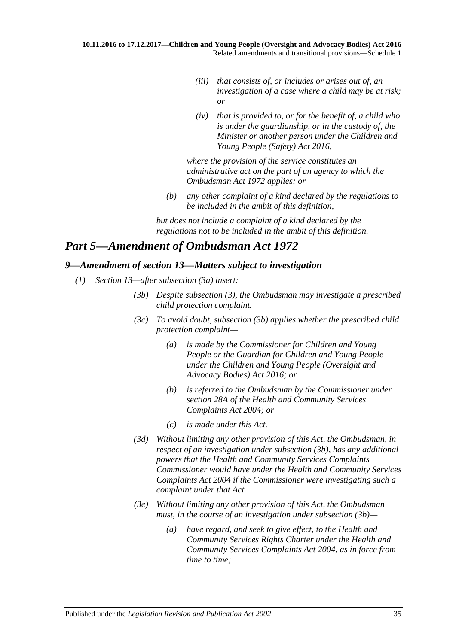- *(iii) that consists of, or includes or arises out of, an investigation of a case where a child may be at risk; or*
- *(iv) that is provided to, or for the benefit of, a child who is under the guardianship, or in the custody of, the Minister or another person under the [Children and](http://www.legislation.sa.gov.au/index.aspx?action=legref&type=act&legtitle=Children%20and%20Young%20People%20(Safety)%20Act%202016)  [Young People \(Safety\) Act](http://www.legislation.sa.gov.au/index.aspx?action=legref&type=act&legtitle=Children%20and%20Young%20People%20(Safety)%20Act%202016) 2016,*

*where the provision of the service constitutes an administrative act on the part of an agency to which the [Ombudsman Act](http://www.legislation.sa.gov.au/index.aspx?action=legref&type=act&legtitle=Ombudsman%20Act%201972) 1972 applies; or*

*(b) any other complaint of a kind declared by the regulations to be included in the ambit of this definition,*

*but does not include a complaint of a kind declared by the regulations not to be included in the ambit of this definition.*

# *Part 5—Amendment of Ombudsman Act 1972*

#### <span id="page-34-0"></span>*9—Amendment of section 13—Matters subject to investigation*

- <span id="page-34-1"></span>*(1) Section 13—after subsection (3a) insert:*
	- *(3b) Despite subsection (3), the Ombudsman may investigate a prescribed child protection complaint.*
	- *(3c) To avoid doubt, [subsection](#page-34-1) (3b) applies whether the prescribed child protection complaint—*
		- *(a) is made by the Commissioner for Children and Young People or the Guardian for Children and Young People under the [Children and Young People \(Oversight and](http://www.legislation.sa.gov.au/index.aspx?action=legref&type=act&legtitle=Children%20and%20Young%20People%20(Oversight%20and%20Advocacy%20Bodies)%20Act%202016)  [Advocacy Bodies\) Act](http://www.legislation.sa.gov.au/index.aspx?action=legref&type=act&legtitle=Children%20and%20Young%20People%20(Oversight%20and%20Advocacy%20Bodies)%20Act%202016) 2016; or*
		- *(b) is referred to the Ombudsman by the Commissioner under section 28A of the [Health and Community Services](http://www.legislation.sa.gov.au/index.aspx?action=legref&type=act&legtitle=Health%20and%20Community%20Services%20Complaints%20Act%202004)  [Complaints Act](http://www.legislation.sa.gov.au/index.aspx?action=legref&type=act&legtitle=Health%20and%20Community%20Services%20Complaints%20Act%202004) 2004; or*
		- *(c) is made under this Act.*
	- *(3d) Without limiting any other provision of this Act, the Ombudsman, in respect of an investigation under [subsection](#page-34-1) (3b), has any additional powers that the Health and Community Services Complaints Commissioner would have under th[e Health and Community Services](http://www.legislation.sa.gov.au/index.aspx?action=legref&type=act&legtitle=Health%20and%20Community%20Services%20Complaints%20Act%202004)  [Complaints Act](http://www.legislation.sa.gov.au/index.aspx?action=legref&type=act&legtitle=Health%20and%20Community%20Services%20Complaints%20Act%202004) 2004 if the Commissioner were investigating such a complaint under that Act.*
	- *(3e) Without limiting any other provision of this Act, the Ombudsman must, in the course of an investigation under [subsection](#page-34-1) (3b)—*
		- *(a) have regard, and seek to give effect, to the Health and Community Services Rights Charter under the [Health and](http://www.legislation.sa.gov.au/index.aspx?action=legref&type=act&legtitle=Health%20and%20Community%20Services%20Complaints%20Act%202004)  [Community Services Complaints Act](http://www.legislation.sa.gov.au/index.aspx?action=legref&type=act&legtitle=Health%20and%20Community%20Services%20Complaints%20Act%202004) 2004, as in force from time to time;*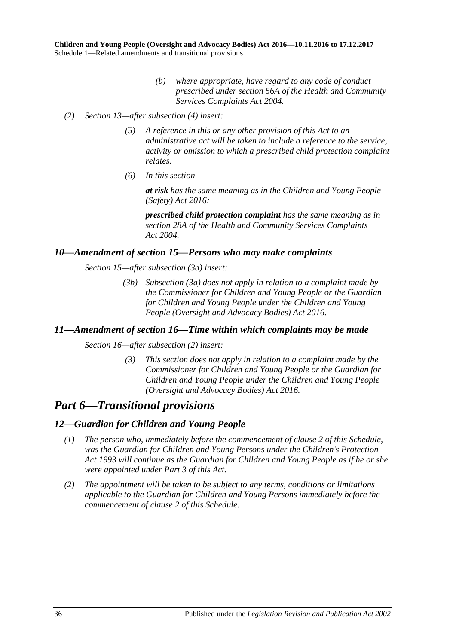- *(b) where appropriate, have regard to any code of conduct prescribed under section 56A of the [Health and Community](http://www.legislation.sa.gov.au/index.aspx?action=legref&type=act&legtitle=Health%20and%20Community%20Services%20Complaints%20Act%202004) [Services Complaints Act](http://www.legislation.sa.gov.au/index.aspx?action=legref&type=act&legtitle=Health%20and%20Community%20Services%20Complaints%20Act%202004) 2004.*
- *(2) Section 13—after subsection (4) insert:*
	- *(5) A reference in this or any other provision of this Act to an administrative act will be taken to include a reference to the service, activity or omission to which a prescribed child protection complaint relates.*
	- *(6) In this section—*

*at risk has the same meaning as in the [Children and Young People](http://www.legislation.sa.gov.au/index.aspx?action=legref&type=act&legtitle=Children%20and%20Young%20People%20(Safety)%20Act%202016)  [\(Safety\) Act 2016;](http://www.legislation.sa.gov.au/index.aspx?action=legref&type=act&legtitle=Children%20and%20Young%20People%20(Safety)%20Act%202016)*

*prescribed child protection complaint has the same meaning as in section 28A of the [Health and Community Services Complaints](http://www.legislation.sa.gov.au/index.aspx?action=legref&type=act&legtitle=Health%20and%20Community%20Services%20Complaints%20Act%202004)  Act [2004.](http://www.legislation.sa.gov.au/index.aspx?action=legref&type=act&legtitle=Health%20and%20Community%20Services%20Complaints%20Act%202004)*

#### <span id="page-35-0"></span>*10—Amendment of section 15—Persons who may make complaints*

*Section 15—after subsection (3a) insert:*

*(3b) Subsection (3a) does not apply in relation to a complaint made by the Commissioner for Children and Young People or the Guardian for Children and Young People under the [Children and Young](http://www.legislation.sa.gov.au/index.aspx?action=legref&type=act&legtitle=Children%20and%20Young%20People%20(Oversight%20and%20Advocacy%20Bodies)%20Act%202016)  [People \(Oversight and Advocacy Bodies\) Act 2016.](http://www.legislation.sa.gov.au/index.aspx?action=legref&type=act&legtitle=Children%20and%20Young%20People%20(Oversight%20and%20Advocacy%20Bodies)%20Act%202016)*

#### <span id="page-35-1"></span>*11—Amendment of section 16—Time within which complaints may be made*

*Section 16—after subsection (2) insert:*

*(3) This section does not apply in relation to a complaint made by the Commissioner for Children and Young People or the Guardian for Children and Young People under the [Children and Young People](http://www.legislation.sa.gov.au/index.aspx?action=legref&type=act&legtitle=Children%20and%20Young%20People%20(Oversight%20and%20Advocacy%20Bodies)%20Act%202016)  [\(Oversight and Advocacy Bodies\) Act 2016.](http://www.legislation.sa.gov.au/index.aspx?action=legref&type=act&legtitle=Children%20and%20Young%20People%20(Oversight%20and%20Advocacy%20Bodies)%20Act%202016)*

# *Part 6—Transitional provisions*

#### <span id="page-35-2"></span>*12—Guardian for Children and Young People*

- *(1) The person who, immediately before the commencement of [clause](#page-31-3) 2 of this Schedule, was the Guardian for Children and Young Persons under the [Children's Protection](http://www.legislation.sa.gov.au/index.aspx?action=legref&type=act&legtitle=Childrens%20Protection%20Act%201993)  Act [1993](http://www.legislation.sa.gov.au/index.aspx?action=legref&type=act&legtitle=Childrens%20Protection%20Act%201993) will continue as the Guardian for Children and Young People as if he or she were appointed under [Part](#page-11-1) 3 of this Act.*
- *(2) The appointment will be taken to be subject to any terms, conditions or limitations applicable to the Guardian for Children and Young Persons immediately before the commencement of [clause](#page-31-3) 2 of this Schedule.*